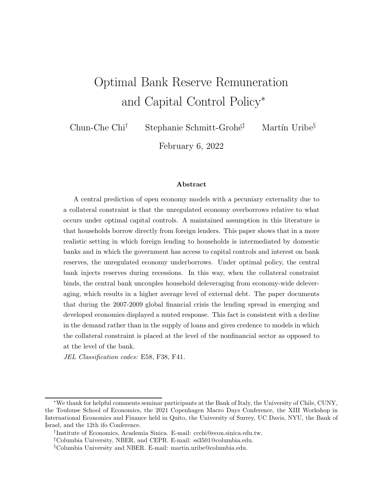# Optimal Bank Reserve Remuneration and Capital Control Policy<sup>∗</sup>

Chun-Che Chi<sup>†</sup> Stephanie Schmitt-Grohé<sup>‡</sup> Martín Uribe<sup>§</sup>

February 6, 2022

#### Abstract

A central prediction of open economy models with a pecuniary externality due to a collateral constraint is that the unregulated economy overborrows relative to what occurs under optimal capital controls. A maintained assumption in this literature is that households borrow directly from foreign lenders. This paper shows that in a more realistic setting in which foreign lending to households is intermediated by domestic banks and in which the government has access to capital controls and interest on bank reserves, the unregulated economy underborrows. Under optimal policy, the central bank injects reserves during recessions. In this way, when the collateral constraint binds, the central bank uncouples household deleveraging from economy-wide deleveraging, which results in a higher average level of external debt. The paper documents that during the 2007-2009 global financial crisis the lending spread in emerging and developed economies displayed a muted response. This fact is consistent with a decline in the demand rather than in the supply of loans and gives credence to models in which the collateral constraint is placed at the level of the nonfinancial sector as opposed to at the level of the bank.

JEL Classification codes: E58, F38, F41.

<sup>∗</sup>We thank for helpful comments seminar participants at the Bank of Italy, the University of Chile, CUNY, the Toulouse School of Economics, the 2021 Copenhagen Macro Days Conference, the XIII Workshop in International Economics and Finance held in Quito, the University of Surrey, UC Davis, NYU, the Bank of Israel, and the 12th ifo Conference.

<sup>†</sup> Institute of Economics, Academia Sinica. E-mail: ccchi@econ.sinica.edu.tw.

<sup>‡</sup>Columbia University, NBER, and CEPR. E-mail: ss3501@columbia.edu.

<sup>§</sup>Columbia University and NBER. E-mail: martin.uribe@columbia.edu.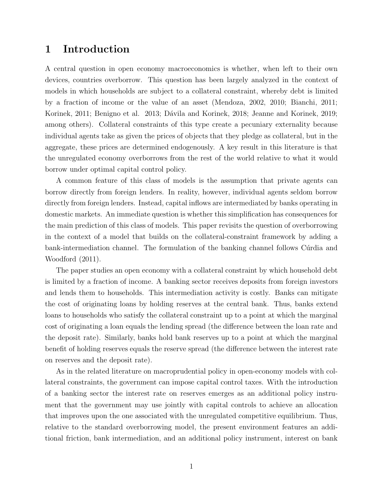## 1 Introduction

A central question in open economy macroeconomics is whether, when left to their own devices, countries overborrow. This question has been largely analyzed in the context of models in which households are subject to a collateral constraint, whereby debt is limited by a fraction of income or the value of an asset (Mendoza, 2002, 2010; Bianchi, 2011; Korinek, 2011; Benigno et al. 2013; Dávila and Korinek, 2018; Jeanne and Korinek, 2019; among others). Collateral constraints of this type create a pecuniary externality because individual agents take as given the prices of objects that they pledge as collateral, but in the aggregate, these prices are determined endogenously. A key result in this literature is that the unregulated economy overborrows from the rest of the world relative to what it would borrow under optimal capital control policy.

A common feature of this class of models is the assumption that private agents can borrow directly from foreign lenders. In reality, however, individual agents seldom borrow directly from foreign lenders. Instead, capital inflows are intermediated by banks operating in domestic markets. An immediate question is whether this simplification has consequences for the main prediction of this class of models. This paper revisits the question of overborrowing in the context of a model that builds on the collateral-constraint framework by adding a bank-intermediation channel. The formulation of the banking channel follows Curdia and Woodford (2011).

The paper studies an open economy with a collateral constraint by which household debt is limited by a fraction of income. A banking sector receives deposits from foreign investors and lends them to households. This intermediation activity is costly. Banks can mitigate the cost of originating loans by holding reserves at the central bank. Thus, banks extend loans to households who satisfy the collateral constraint up to a point at which the marginal cost of originating a loan equals the lending spread (the difference between the loan rate and the deposit rate). Similarly, banks hold bank reserves up to a point at which the marginal benefit of holding reserves equals the reserve spread (the difference between the interest rate on reserves and the deposit rate).

As in the related literature on macroprudential policy in open-economy models with collateral constraints, the government can impose capital control taxes. With the introduction of a banking sector the interest rate on reserves emerges as an additional policy instrument that the government may use jointly with capital controls to achieve an allocation that improves upon the one associated with the unregulated competitive equilibrium. Thus, relative to the standard overborrowing model, the present environment features an additional friction, bank intermediation, and an additional policy instrument, interest on bank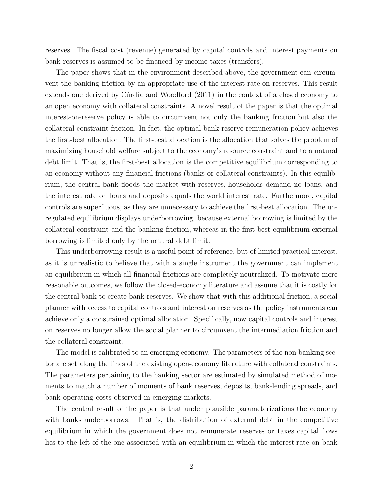reserves. The fiscal cost (revenue) generated by capital controls and interest payments on bank reserves is assumed to be financed by income taxes (transfers).

The paper shows that in the environment described above, the government can circumvent the banking friction by an appropriate use of the interest rate on reserves. This result extends one derived by Curdia and Woodford (2011) in the context of a closed economy to an open economy with collateral constraints. A novel result of the paper is that the optimal interest-on-reserve policy is able to circumvent not only the banking friction but also the collateral constraint friction. In fact, the optimal bank-reserve remuneration policy achieves the first-best allocation. The first-best allocation is the allocation that solves the problem of maximizing household welfare subject to the economy's resource constraint and to a natural debt limit. That is, the first-best allocation is the competitive equilibrium corresponding to an economy without any financial frictions (banks or collateral constraints). In this equilibrium, the central bank floods the market with reserves, households demand no loans, and the interest rate on loans and deposits equals the world interest rate. Furthermore, capital controls are superfluous, as they are unnecessary to achieve the first-best allocation. The unregulated equilibrium displays underborrowing, because external borrowing is limited by the collateral constraint and the banking friction, whereas in the first-best equilibrium external borrowing is limited only by the natural debt limit.

This underborrowing result is a useful point of reference, but of limited practical interest, as it is unrealistic to believe that with a single instrument the government can implement an equilibrium in which all financial frictions are completely neutralized. To motivate more reasonable outcomes, we follow the closed-economy literature and assume that it is costly for the central bank to create bank reserves. We show that with this additional friction, a social planner with access to capital controls and interest on reserves as the policy instruments can achieve only a constrained optimal allocation. Specifically, now capital controls and interest on reserves no longer allow the social planner to circumvent the intermediation friction and the collateral constraint.

The model is calibrated to an emerging economy. The parameters of the non-banking sector are set along the lines of the existing open-economy literature with collateral constraints. The parameters pertaining to the banking sector are estimated by simulated method of moments to match a number of moments of bank reserves, deposits, bank-lending spreads, and bank operating costs observed in emerging markets.

The central result of the paper is that under plausible parameterizations the economy with banks underborrows. That is, the distribution of external debt in the competitive equilibrium in which the government does not remunerate reserves or taxes capital flows lies to the left of the one associated with an equilibrium in which the interest rate on bank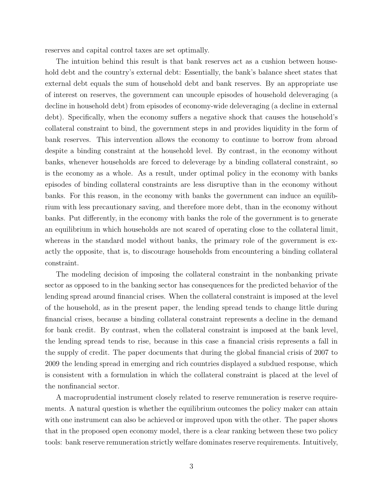reserves and capital control taxes are set optimally.

The intuition behind this result is that bank reserves act as a cushion between household debt and the country's external debt: Essentially, the bank's balance sheet states that external debt equals the sum of household debt and bank reserves. By an appropriate use of interest on reserves, the government can uncouple episodes of household deleveraging (a decline in household debt) from episodes of economy-wide deleveraging (a decline in external debt). Specifically, when the economy suffers a negative shock that causes the household's collateral constraint to bind, the government steps in and provides liquidity in the form of bank reserves. This intervention allows the economy to continue to borrow from abroad despite a binding constraint at the household level. By contrast, in the economy without banks, whenever households are forced to deleverage by a binding collateral constraint, so is the economy as a whole. As a result, under optimal policy in the economy with banks episodes of binding collateral constraints are less disruptive than in the economy without banks. For this reason, in the economy with banks the government can induce an equilibrium with less precautionary saving, and therefore more debt, than in the economy without banks. Put differently, in the economy with banks the role of the government is to generate an equilibrium in which households are not scared of operating close to the collateral limit, whereas in the standard model without banks, the primary role of the government is exactly the opposite, that is, to discourage households from encountering a binding collateral constraint.

The modeling decision of imposing the collateral constraint in the nonbanking private sector as opposed to in the banking sector has consequences for the predicted behavior of the lending spread around financial crises. When the collateral constraint is imposed at the level of the household, as in the present paper, the lending spread tends to change little during financial crises, because a binding collateral constraint represents a decline in the demand for bank credit. By contrast, when the collateral constraint is imposed at the bank level, the lending spread tends to rise, because in this case a financial crisis represents a fall in the supply of credit. The paper documents that during the global financial crisis of 2007 to 2009 the lending spread in emerging and rich countries displayed a subdued response, which is consistent with a formulation in which the collateral constraint is placed at the level of the nonfinancial sector.

A macroprudential instrument closely related to reserve remuneration is reserve requirements. A natural question is whether the equilibrium outcomes the policy maker can attain with one instrument can also be achieved or improved upon with the other. The paper shows that in the proposed open economy model, there is a clear ranking between these two policy tools: bank reserve remuneration strictly welfare dominates reserve requirements. Intuitively,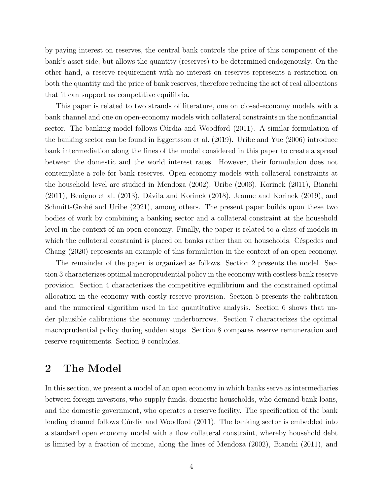by paying interest on reserves, the central bank controls the price of this component of the bank's asset side, but allows the quantity (reserves) to be determined endogenously. On the other hand, a reserve requirement with no interest on reserves represents a restriction on both the quantity and the price of bank reserves, therefore reducing the set of real allocations that it can support as competitive equilibria.

This paper is related to two strands of literature, one on closed-economy models with a bank channel and one on open-economy models with collateral constraints in the nonfinancial sector. The banking model follows Cúrdia and Woodford (2011). A similar formulation of the banking sector can be found in Eggertsson et al. (2019). Uribe and Yue (2006) introduce bank intermediation along the lines of the model considered in this paper to create a spread between the domestic and the world interest rates. However, their formulation does not contemplate a role for bank reserves. Open economy models with collateral constraints at the household level are studied in Mendoza (2002), Uribe (2006), Korinek (2011), Bianchi  $(2011)$ , Benigno et al.  $(2013)$ , Dávila and Korinek  $(2018)$ , Jeanne and Korinek  $(2019)$ , and Schmitt-Grohé and Uribe (2021), among others. The present paper builds upon these two bodies of work by combining a banking sector and a collateral constraint at the household level in the context of an open economy. Finally, the paper is related to a class of models in which the collateral constraint is placed on banks rather than on households. Céspedes and Chang (2020) represents an example of this formulation in the context of an open economy.

The remainder of the paper is organized as follows. Section 2 presents the model. Section 3 characterizes optimal macroprudential policy in the economy with costless bank reserve provision. Section 4 characterizes the competitive equilibrium and the constrained optimal allocation in the economy with costly reserve provision. Section 5 presents the calibration and the numerical algorithm used in the quantitative analysis. Section 6 shows that under plausible calibrations the economy underborrows. Section 7 characterizes the optimal macroprudential policy during sudden stops. Section 8 compares reserve remuneration and reserve requirements. Section 9 concludes.

## 2 The Model

In this section, we present a model of an open economy in which banks serve as intermediaries between foreign investors, who supply funds, domestic households, who demand bank loans, and the domestic government, who operates a reserve facility. The specification of the bank lending channel follows Curdia and Woodford (2011). The banking sector is embedded into a standard open economy model with a flow collateral constraint, whereby household debt is limited by a fraction of income, along the lines of Mendoza (2002), Bianchi (2011), and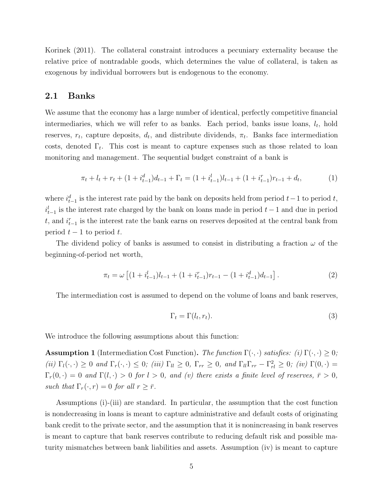Korinek (2011). The collateral constraint introduces a pecuniary externality because the relative price of nontradable goods, which determines the value of collateral, is taken as exogenous by individual borrowers but is endogenous to the economy.

### 2.1 Banks

We assume that the economy has a large number of identical, perfectly competitive financial intermediaries, which we will refer to as banks. Each period, banks issue loans,  $l_t$ , hold reserves,  $r_t$ , capture deposits,  $d_t$ , and distribute dividends,  $\pi_t$ . Banks face intermediation costs, denoted  $\Gamma_t$ . This cost is meant to capture expenses such as those related to loan monitoring and management. The sequential budget constraint of a bank is

$$
\pi_t + l_t + r_t + (1 + i_{t-1}^d) d_{t-1} + \Gamma_t = (1 + i_{t-1}^l) l_{t-1} + (1 + i_{t-1}^r) r_{t-1} + d_t,
$$
\n(1)

where  $i_{t-1}^d$  is the interest rate paid by the bank on deposits held from period  $t-1$  to period  $t$ ,  $i_{t-1}^l$  is the interest rate charged by the bank on loans made in period  $t-1$  and due in period t, and  $i_{t-1}^r$  is the interest rate the bank earns on reserves deposited at the central bank from period  $t - 1$  to period t.

The dividend policy of banks is assumed to consist in distributing a fraction  $\omega$  of the beginning-of-period net worth,

$$
\pi_t = \omega \left[ (1 + i_{t-1}^l) l_{t-1} + (1 + i_{t-1}^r) r_{t-1} - (1 + i_{t-1}^d) d_{t-1} \right]. \tag{2}
$$

The intermediation cost is assumed to depend on the volume of loans and bank reserves,

$$
\Gamma_t = \Gamma(l_t, r_t). \tag{3}
$$

We introduce the following assumptions about this function:

**Assumption 1** (Intermediation Cost Function). The function  $\Gamma(\cdot, \cdot)$  satisfies: (i)  $\Gamma(\cdot, \cdot) \geq 0$ ; (ii)  $\Gamma_l(\cdot, \cdot) \geq 0$  and  $\Gamma_r(\cdot, \cdot) \leq 0$ ; (iii)  $\Gamma_{ll} \geq 0$ ,  $\Gamma_{rr} \geq 0$ , and  $\Gamma_{ll} \Gamma_{rr} - \Gamma_{rl}^2 \geq 0$ ; (iv)  $\Gamma(0, \cdot) =$  $\Gamma_r(0, \cdot) = 0$  and  $\Gamma(l, \cdot) > 0$  for  $l > 0$ , and (v) there exists a finite level of reserves,  $\bar{r} > 0$ , such that  $\Gamma_r(\cdot, r) = 0$  for all  $r \geq \overline{r}$ .

Assumptions (i)-(iii) are standard. In particular, the assumption that the cost function is nondecreasing in loans is meant to capture administrative and default costs of originating bank credit to the private sector, and the assumption that it is nonincreasing in bank reserves is meant to capture that bank reserves contribute to reducing default risk and possible maturity mismatches between bank liabilities and assets. Assumption (iv) is meant to capture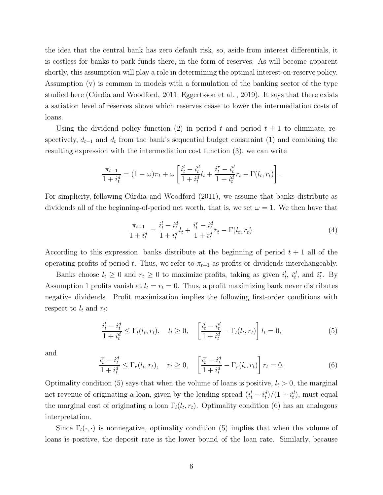the idea that the central bank has zero default risk, so, aside from interest differentials, it is costless for banks to park funds there, in the form of reserves. As will become apparent shortly, this assumption will play a role in determining the optimal interest-on-reserve policy. Assumption (v) is common in models with a formulation of the banking sector of the type studied here (Cúrdia and Woodford, 2011; Eggertsson et al., 2019). It says that there exists a satiation level of reserves above which reserves cease to lower the intermediation costs of loans.

Using the dividend policy function (2) in period t and period  $t + 1$  to eliminate, respectively,  $d_{t-1}$  and  $d_t$  from the bank's sequential budget constraint (1) and combining the resulting expression with the intermediation cost function (3), we can write

$$
\frac{\pi_{t+1}}{1+i_t^d} = (1-\omega)\pi_t + \omega \left[ \frac{i_t^l - i_t^d}{1+i_t^d} l_t + \frac{i_t^r - i_t^d}{1+i_t^d} r_t - \Gamma(l_t, r_t) \right].
$$

For simplicity, following Curdia and Woodford (2011), we assume that banks distribute as dividends all of the beginning-of-period net worth, that is, we set  $\omega = 1$ . We then have that

$$
\frac{\pi_{t+1}}{1+i_t^d} = \frac{i_t^l - i_t^d}{1+i_t^d} l_t + \frac{i_t^r - i_t^d}{1+i_t^d} r_t - \Gamma(l_t, r_t).
$$
\n(4)

According to this expression, banks distribute at the beginning of period  $t + 1$  all of the operating profits of period t. Thus, we refer to  $\pi_{t+1}$  as profits or dividends interchangeably.

Banks choose  $l_t \geq 0$  and  $r_t \geq 0$  to maximize profits, taking as given  $i_t^l$ ,  $i_t^d$ , and  $i_t^r$ . By Assumption 1 profits vanish at  $l_t = r_t = 0$ . Thus, a profit maximizing bank never distributes negative dividends. Profit maximization implies the following first-order conditions with respect to  $l_t$  and  $r_t$ :

$$
\frac{i_t^l - i_t^d}{1 + i_t^d} \le \Gamma_l(l_t, r_t), \quad l_t \ge 0, \quad \left[\frac{i_t^l - i_t^d}{1 + i_t^d} - \Gamma_l(l_t, r_t)\right] l_t = 0,\tag{5}
$$

and

$$
\frac{i_t^r - i_t^d}{1 + i_t^d} \le \Gamma_r(l_t, r_t), \quad r_t \ge 0, \quad \left[\frac{i_t^r - i_t^d}{1 + i_t^d} - \Gamma_r(l_t, r_t)\right] r_t = 0.
$$
\n(6)

Optimality condition (5) says that when the volume of loans is positive,  $l_t > 0$ , the marginal net revenue of originating a loan, given by the lending spread  $(i_t^l - i_t^d)/(1 + i_t^d)$ , must equal the marginal cost of originating a loan  $\Gamma_l(l_t,r_t)$ . Optimality condition (6) has an analogous interpretation.

Since  $\Gamma_l(\cdot, \cdot)$  is nonnegative, optimality condition (5) implies that when the volume of loans is positive, the deposit rate is the lower bound of the loan rate. Similarly, because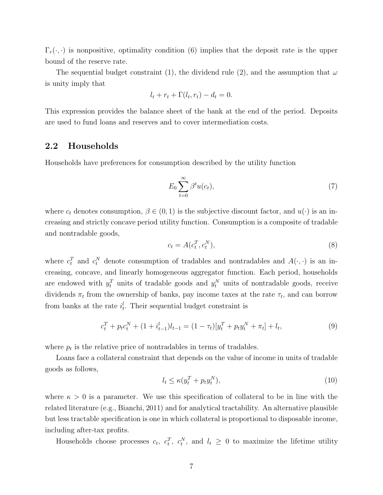$\Gamma_r(\cdot, \cdot)$  is nonpositive, optimality condition (6) implies that the deposit rate is the upper bound of the reserve rate.

The sequential budget constraint (1), the dividend rule (2), and the assumption that  $\omega$ is unity imply that

$$
l_t + r_t + \Gamma(l_t, r_t) - d_t = 0.
$$

This expression provides the balance sheet of the bank at the end of the period. Deposits are used to fund loans and reserves and to cover intermediation costs.

#### 2.2 Households

Households have preferences for consumption described by the utility function

$$
E_0 \sum_{t=0}^{\infty} \beta^t u(c_t), \tag{7}
$$

where  $c_t$  denotes consumption,  $\beta \in (0, 1)$  is the subjective discount factor, and  $u(\cdot)$  is an increasing and strictly concave period utility function. Consumption is a composite of tradable and nontradable goods,

$$
c_t = A(c_t^T, c_t^N),\tag{8}
$$

where  $c_t^T$  and  $c_t^N$  denote consumption of tradables and nontradables and  $A(\cdot, \cdot)$  is an increasing, concave, and linearly homogeneous aggregator function. Each period, households are endowed with  $y_t^T$  units of tradable goods and  $y_t^N$  units of nontradable goods, receive dividends  $\pi_t$  from the ownership of banks, pay income taxes at the rate  $\tau_t$ , and can borrow from banks at the rate  $i_t^l$ . Their sequential budget constraint is

$$
c_t^T + p_t c_t^N + (1 + i_{t-1}^l) l_{t-1} = (1 - \tau_t) [y_t^T + p_t y_t^N + \pi_t] + l_t,
$$
\n(9)

where  $p_t$  is the relative price of nontradables in terms of tradables.

Loans face a collateral constraint that depends on the value of income in units of tradable goods as follows,

$$
l_t \le \kappa (y_t^T + p_t y_t^N),\tag{10}
$$

where  $\kappa > 0$  is a parameter. We use this specification of collateral to be in line with the related literature (e.g., Bianchi, 2011) and for analytical tractability. An alternative plausible but less tractable specification is one in which collateral is proportional to disposable income, including after-tax profits.

Households choose processes  $c_t$ ,  $c_t^T$ ,  $c_t^N$ , and  $l_t \geq 0$  to maximize the lifetime utility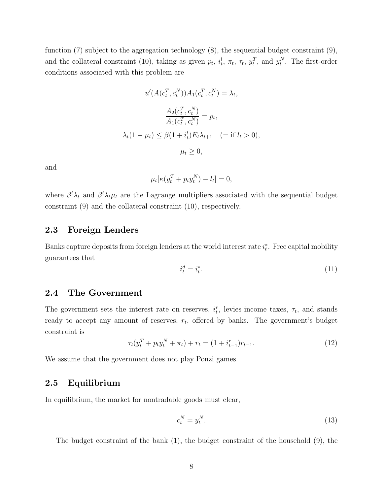function  $(7)$  subject to the aggregation technology  $(8)$ , the sequential budget constraint  $(9)$ , and the collateral constraint (10), taking as given  $p_t$ ,  $i_t^l$ ,  $\pi_t$ ,  $\tau_t$ ,  $y_t^T$ , and  $y_t^N$ . The first-order conditions associated with this problem are

$$
u'(A(c_t^T, c_t^N))A_1(c_t^T, c_t^N) = \lambda_t,
$$
  

$$
\frac{A_2(c_t^T, c_t^N)}{A_1(c_t^T, c_t^N)} = p_t,
$$
  

$$
\lambda_t(1 - \mu_t) \le \beta(1 + i_t^l)E_t\lambda_{t+1} \quad (= \text{if } l_t > 0),
$$
  

$$
\mu_t \ge 0,
$$

and

$$
\mu_t[\kappa(y_t^T + p_t y_t^N) - l_t] = 0,
$$

where  $\beta^t \lambda_t$  and  $\beta^t \lambda_t \mu_t$  are the Lagrange multipliers associated with the sequential budget constraint (9) and the collateral constraint (10), respectively.

### 2.3 Foreign Lenders

Banks capture deposits from foreign lenders at the world interest rate  $i_t^*$ . Free capital mobility guarantees that

$$
i_t^d = i_t^*.\tag{11}
$$

### 2.4 The Government

The government sets the interest rate on reserves,  $i_t^r$ , levies income taxes,  $\tau_t$ , and stands ready to accept any amount of reserves,  $r_t$ , offered by banks. The government's budget constraint is

$$
\tau_t(y_t^T + p_t y_t^N + \pi_t) + r_t = (1 + i_{t-1}^r) r_{t-1}.
$$
\n(12)

We assume that the government does not play Ponzi games.

### 2.5 Equilibrium

In equilibrium, the market for nontradable goods must clear,

$$
c_t^N = y_t^N. \tag{13}
$$

The budget constraint of the bank (1), the budget constraint of the household (9), the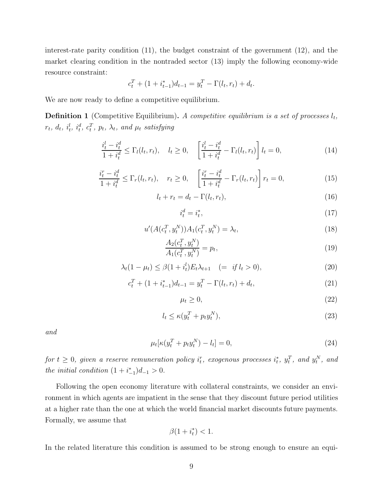interest-rate parity condition (11), the budget constraint of the government (12), and the market clearing condition in the nontraded sector (13) imply the following economy-wide resource constraint:

$$
c_t^T + (1 + i_{t-1}^*)d_{t-1} = y_t^T - \Gamma(l_t, r_t) + d_t.
$$

We are now ready to define a competitive equilibrium.

**Definition 1** (Competitive Equilibrium). A competitive equilibrium is a set of processes  $l_t$ ,  $r_t, d_t, i_t^l, i_t^d, c_t^T, p_t, \lambda_t$ , and  $\mu_t$  satisfying

$$
\frac{i_t^l - i_t^d}{1 + i_t^d} \le \Gamma_l(l_t, r_t), \quad l_t \ge 0, \quad \left[\frac{i_t^l - i_t^d}{1 + i_t^d} - \Gamma_l(l_t, r_t)\right] l_t = 0,\tag{14}
$$

$$
\frac{i_t^r - i_t^d}{1 + i_t^d} \le \Gamma_r(l_t, r_t), \quad r_t \ge 0, \quad \left[\frac{i_t^r - i_t^d}{1 + i_t^d} - \Gamma_r(l_t, r_t)\right] r_t = 0,\tag{15}
$$

$$
l_t + r_t = d_t - \Gamma(l_t, r_t), \tag{16}
$$

$$
i_t^d = i_t^*,\tag{17}
$$

$$
u'(A(c_t^T, y_t^N))A_1(c_t^T, y_t^N) = \lambda_t,
$$
\n(18)

$$
\frac{A_2(c_t^T, y_t^N)}{A_1(c_t^T, y_t^N)} = p_t,\tag{19}
$$

$$
\lambda_t (1 - \mu_t) \le \beta (1 + i_t^l) E_t \lambda_{t+1} \quad (= \text{if } l_t > 0), \tag{20}
$$

$$
c_t^T + (1 + i_{t-1}^*)d_{t-1} = y_t^T - \Gamma(l_t, r_t) + d_t,
$$
\n(21)

$$
\mu_t \ge 0,\tag{22}
$$

$$
l_t \le \kappa (y_t^T + p_t y_t^N),\tag{23}
$$

and

$$
\mu_t[\kappa(y_t^T + p_t y_t^N) - l_t] = 0,\t(24)
$$

 $for\;t\geq0,\;given\; a\; reserve\; remuneration\; policy\; i_t^r,\;exogenous\; processes\; i_t^*,\; y_t^T,\; and\; y_t^N,\; and\; y_t^N\; and\; y_t^N\; and\; y_t^N\; and\; y_t^N\; and\; y_t^N\; and\; y_t^N\; and\; y_t^N\; and\; y_t^N\; and\; y_t^N\; and\; y_t^N\; and\; y_t^N\; and\; y_t^N\; and\; y_t^N\; and\; y_t^N\; and\; y_t^N\; and\; y_t^N\; and\; y_t^N\; and\; y_t^$ the initial condition  $(1 + i^*_{-1})d_{-1} > 0$ .

Following the open economy literature with collateral constraints, we consider an environment in which agents are impatient in the sense that they discount future period utilities at a higher rate than the one at which the world financial market discounts future payments. Formally, we assume that

$$
\beta(1+i_t^*)<1.
$$

In the related literature this condition is assumed to be strong enough to ensure an equi-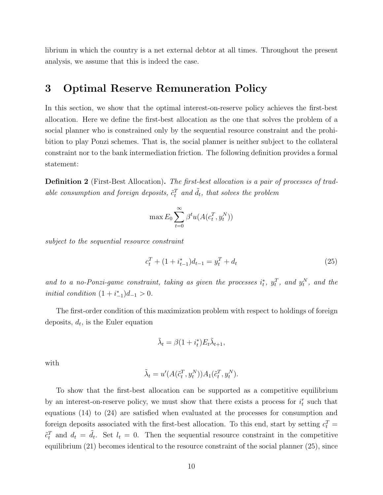librium in which the country is a net external debtor at all times. Throughout the present analysis, we assume that this is indeed the case.

## 3 Optimal Reserve Remuneration Policy

In this section, we show that the optimal interest-on-reserve policy achieves the first-best allocation. Here we define the first-best allocation as the one that solves the problem of a social planner who is constrained only by the sequential resource constraint and the prohibition to play Ponzi schemes. That is, the social planner is neither subject to the collateral constraint nor to the bank intermediation friction. The following definition provides a formal statement:

**Definition 2** (First-Best Allocation). The first-best allocation is a pair of processes of tradable consumption and foreign deposits,  $\tilde{c}_t^T$  and  $\tilde{d}_t$ , that solves the problem

$$
\max E_0 \sum_{t=0}^{\infty} \beta^t u(A(c_t^T, y_t^N))
$$

subject to the sequential resource constraint

$$
c_t^T + (1 + i_{t-1}^*)d_{t-1} = y_t^T + d_t \tag{25}
$$

and to a no-Ponzi-game constraint, taking as given the processes  $i_t^*$ ,  $y_t^T$ , and  $y_t^N$ , and the *initial condition*  $(1 + i^*_{-1})d_{-1} > 0$ .

The first-order condition of this maximization problem with respect to holdings of foreign deposits,  $d_t$ , is the Euler equation

$$
\tilde{\lambda}_t = \beta (1 + i_t^*) E_t \tilde{\lambda}_{t+1},
$$

with

$$
\tilde{\lambda}_t = u'(A(\tilde{c}_t^T, y_t^N))A_1(\tilde{c}_t^T, y_t^N).
$$

To show that the first-best allocation can be supported as a competitive equilibrium by an interest-on-reserve policy, we must show that there exists a process for  $i_t^r$  such that equations (14) to (24) are satisfied when evaluated at the processes for consumption and foreign deposits associated with the first-best allocation. To this end, start by setting  $c_t^T =$  $\tilde{c}_t^T$  and  $d_t = \tilde{d}_t$ . Set  $l_t = 0$ . Then the sequential resource constraint in the competitive equilibrium (21) becomes identical to the resource constraint of the social planner (25), since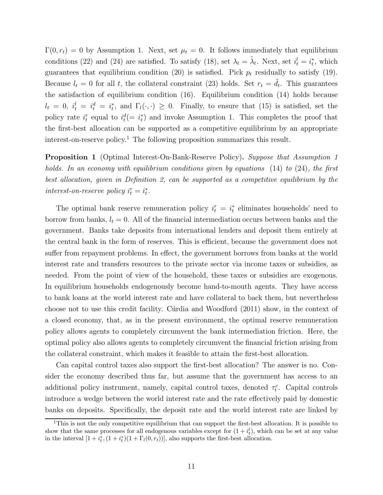$\Gamma(0, r_t) = 0$  by Assumption 1. Next, set  $\mu_t = 0$ . It follows immediately that equilibrium conditions (22) and (24) are satisfied. To satisfy (18), set  $\lambda_t = \tilde{\lambda}_t$ . Next, set  $i_t^l = i_t^*$ , which guarantees that equilibrium condition (20) is satisfied. Pick  $p_t$  residually to satisfy (19). Because  $l_t = 0$  for all t, the collateral constraint (23) holds. Set  $r_t = \tilde{d}_t$ . This guarantees the satisfaction of equilibrium condition (16). Equilibrium condition (14) holds because  $l_t = 0, i_t^l = i_t^d = i_t^*,$  and  $\Gamma_l(\cdot, \cdot) \geq 0$ . Finally, to ensure that (15) is satisfied, set the policy rate  $i_t^r$  equal to  $i_t^d (= i_t^*)$  and invoke Assumption 1. This completes the proof that the first-best allocation can be supported as a competitive equilibrium by an appropriate interest-on-reserve policy.<sup>1</sup> The following proposition summarizes this result.

Proposition 1 (Optimal Interest-On-Bank-Reserve Policy). Suppose that Assumption 1 holds. In an economy with equilibrium conditions given by equations (14) to (24), the first best allocation, given in Definition 2, can be supported as a competitive equilibrium by the interest-on-reserve policy  $i_t^r = i_t^*$ .

The optimal bank reserve remuneration policy  $i_t^r = i_t^*$  eliminates households' need to borrow from banks,  $l_t = 0$ . All of the financial intermediation occurs between banks and the government. Banks take deposits from international lenders and deposit them entirely at the central bank in the form of reserves. This is efficient, because the government does not suffer from repayment problems. In effect, the government borrows from banks at the world interest rate and transfers resources to the private sector via income taxes or subsidies, as needed. From the point of view of the household, these taxes or subsidies are exogenous. In equilibrium households endogenously become hand-to-mouth agents. They have access to bank loans at the world interest rate and have collateral to back them, but nevertheless choose not to use this credit facility. Curdia and Woodford (2011) show, in the context of a closed economy, that, as in the present environment, the optimal reserve remuneration policy allows agents to completely circumvent the bank intermediation friction. Here, the optimal policy also allows agents to completely circumvent the financial friction arising from the collateral constraint, which makes it feasible to attain the first-best allocation.

Can capital control taxes also support the first-best allocation? The answer is no. Consider the economy described thus far, but assume that the government has access to an additional policy instrument, namely, capital control taxes, denoted  $\tau_t^c$ . Capital controls introduce a wedge between the world interest rate and the rate effectively paid by domestic banks on deposits. Specifically, the deposit rate and the world interest rate are linked by

<sup>&</sup>lt;sup>1</sup>This is not the only competitive equilibrium that can support the first-best allocation. It is possible to show that the same processes for all endogenous variables except for  $(1 + i_t^l)$ , which can be set at any value in the interval  $[1 + i_t^*, (1 + i_t^*)(1 + \Gamma_l(0, r_t))]$ , also supports the first-best allocation.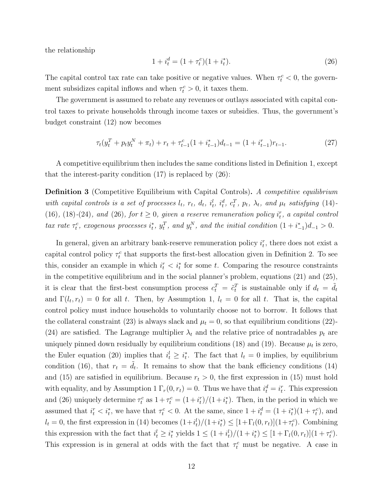the relationship

$$
1 + i_t^d = (1 + \tau_t^c)(1 + i_t^*). \tag{26}
$$

The capital control tax rate can take positive or negative values. When  $\tau_t^c < 0$ , the government subsidizes capital inflows and when  $\tau_t^c > 0$ , it taxes them.

The government is assumed to rebate any revenues or outlays associated with capital control taxes to private households through income taxes or subsidies. Thus, the government's budget constraint (12) now becomes

$$
\tau_t(y_t^T + p_t y_t^N + \pi_t) + r_t + \tau_{t-1}^c (1 + i_{t-1}^*) d_{t-1} = (1 + i_{t-1}^r) r_{t-1}.
$$
\n(27)

A competitive equilibrium then includes the same conditions listed in Definition 1, except that the interest-parity condition  $(17)$  is replaced by  $(26)$ :

Definition 3 (Competitive Equilibrium with Capital Controls). A competitive equilibrium with capital controls is a set of processes  $l_t$ ,  $r_t$ ,  $d_t$ ,  $i_t^l$ ,  $i_t^d$ ,  $c_t^T$ ,  $p_t$ ,  $\lambda_t$ , and  $\mu_t$  satisfying (14)-(16), (18)-(24), and (26), for  $t \ge 0$ , given a reserve remuneration policy  $i_t^r$ , a capital control tax rate  $\tau_t^c$ , exogenous processes  $i_t^*$ ,  $y_t^T$ , and  $y_t^N$ , and the initial condition  $(1 + i_{-1}^*)d_{-1} > 0$ .

In general, given an arbitrary bank-reserve remuneration policy  $i_t^r$ , there does not exist a capital control policy  $\tau_t^c$  that supports the first-best allocation given in Definition 2. To see this, consider an example in which  $i_t^r < i_t^*$  for some t. Comparing the resource constraints in the competitive equilibrium and in the social planner's problem, equations (21) and (25), it is clear that the first-best consumption process  $c_t^T = \tilde{c}_t^T$  is sustainable only if  $d_t = \tilde{d}_t$ and  $\Gamma(l_t, r_t) = 0$  for all t. Then, by Assumption 1,  $l_t = 0$  for all t. That is, the capital control policy must induce households to voluntarily choose not to borrow. It follows that the collateral constraint (23) is always slack and  $\mu_t = 0$ , so that equilibrium conditions (22)-(24) are satisfied. The Lagrange multiplier  $\lambda_t$  and the relative price of nontradables  $p_t$  are uniquely pinned down residually by equilibrium conditions (18) and (19). Because  $\mu_t$  is zero, the Euler equation (20) implies that  $i_t^l \geq i_t^*$ . The fact that  $l_t = 0$  implies, by equilibrium condition (16), that  $r_t = \tilde{d}_t$ . It remains to show that the bank efficiency conditions (14) and (15) are satisfied in equilibrium. Because  $r_t > 0$ , the first expression in (15) must hold with equality, and by Assumption 1  $\Gamma_r(0, r_t) = 0$ . Thus we have that  $i_t^d = i_t^r$ . This expression and (26) uniquely determine  $\tau_t^c$  as  $1 + \tau_t^c = (1 + i_t^r)/(1 + i_t^*)$ . Then, in the period in which we assumed that  $i_t^r < i_t^*$ , we have that  $\tau_t^c < 0$ . At the same, since  $1 + i_t^d = (1 + i_t^*) (1 + \tau_t^c)$ , and  $l_t = 0$ , the first expression in (14) becomes  $(1+i_t^l)/(1+i_t^*) \leq [1+\Gamma_l(0,r_t)](1+\tau_t^c)$ . Combining this expression with the fact that  $i_t^l \geq i_t^*$  yields  $1 \leq (1 + i_t^l)/(1 + i_t^*) \leq [1 + \Gamma_l(0, r_t)](1 + \tau_t^c)$ . This expression is in general at odds with the fact that  $\tau_t^c$  must be negative. A case in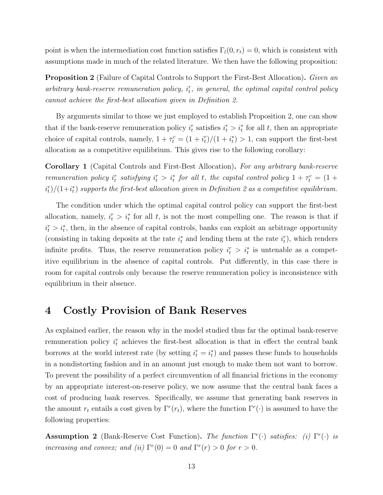point is when the intermediation cost function satisfies  $\Gamma_l(0, r_t) = 0$ , which is consistent with assumptions made in much of the related literature. We then have the following proposition:

**Proposition 2** (Failure of Capital Controls to Support the First-Best Allocation). Given an  $arbitrary$  bank-reserve remuneration policy,  $i_t^r$ , in general, the optimal capital control policy cannot achieve the first-best allocation given in Definition 2.

By arguments similar to those we just employed to establish Proposition 2, one can show that if the bank-reserve remuneration policy  $i_t^r$  satisfies  $i_t^r > i_t^*$  for all t, then an appropriate choice of capital controls, namely,  $1 + \tau_t^c = (1 + i_t^r)/(1 + i_t^*) > 1$ , can support the first-best allocation as a competitive equilibrium. This gives rise to the following corollary:

Corollary 1 (Capital Controls and First-Best Allocation). For any arbitrary bank-reserve remuneration policy  $i_t^r$  satisfying  $i_t^r > i_t^*$  for all t, the capital control policy  $1 + \tau_t^c = (1 +$  $\langle i_t^r \rangle/(1+i_t^*)$  supports the first-best allocation given in Definition 2 as a competitive equilibrium.

The condition under which the optimal capital control policy can support the first-best allocation, namely,  $i_t^r > i_t^*$  for all t, is not the most compelling one. The reason is that if  $i_t^r > i_t^*$ , then, in the absence of capital controls, banks can exploit an arbitrage opportunity (consisting in taking deposits at the rate  $i_t^*$  and lending them at the rate  $i_t^r$ ), which renders infinite profits. Thus, the reserve remuneration policy  $i_t^r > i_t^*$  is untenable as a competitive equilibrium in the absence of capital controls. Put differently, in this case there is room for capital controls only because the reserve remuneration policy is inconsistence with equilibrium in their absence.

## 4 Costly Provision of Bank Reserves

As explained earlier, the reason why in the model studied thus far the optimal bank-reserve remuneration policy  $i_t^r$  achieves the first-best allocation is that in effect the central bank borrows at the world interest rate (by setting  $i_t^r = i_t^*$ ) and passes these funds to households in a nondistorting fashion and in an amount just enough to make them not want to borrow. To prevent the possibility of a perfect circumvention of all financial frictions in the economy by an appropriate interest-on-reserve policy, we now assume that the central bank faces a cost of producing bank reserves. Specifically, we assume that generating bank reserves in the amount  $r_t$  entails a cost given by  $\Gamma^r(r_t)$ , where the function  $\Gamma^r(\cdot)$  is assumed to have the following properties:

**Assumption 2** (Bank-Reserve Cost Function). The function  $\Gamma^r(\cdot)$  satisfies: (i)  $\Gamma^r(\cdot)$  is increasing and convex; and (ii)  $\Gamma^r(0) = 0$  and  $\Gamma^r(r) > 0$  for  $r > 0$ .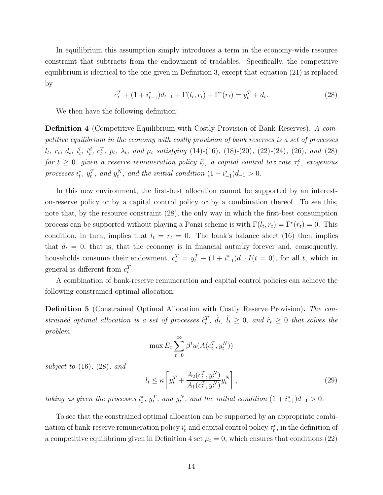In equilibrium this assumption simply introduces a term in the economy-wide resource constraint that subtracts from the endowment of tradables. Specifically, the competitive equilibrium is identical to the one given in Definition 3, except that equation (21) is replaced by

$$
c_t^T + (1 + i_{t-1}^*)d_{t-1} + \Gamma(l_t, r_t) + \Gamma^r(r_t) = y_t^T + d_t.
$$
\n(28)

We then have the following definition:

**Definition 4** (Competitive Equilibrium with Costly Provision of Bank Reserves). A competitive equilibrium in the economy with costly provision of bank reserves is a set of processes  $l_t$ ,  $r_t$ ,  $d_t$ ,  $i_t^l$ ,  $i_t^d$ ,  $c_t^T$ ,  $p_t$ ,  $\lambda_t$ , and  $\mu_t$  satisfying (14)-(16), (18)-(20), (22)-(24), (26), and (28) for  $t \geq 0$ , given a reserve remuneration policy  $i_t^r$ , a capital control tax rate  $\tau_t^c$ , exogenous processes  $i_t^*$ ,  $y_t^T$ , and  $y_t^N$ , and the initial condition  $(1 + i_{-1}^*)d_{-1} > 0$ .

In this new environment, the first-best allocation cannot be supported by an intereston-reserve policy or by a capital control policy or by a combination thereof. To see this, note that, by the resource constraint (28), the only way in which the first-best consumption process can be supported without playing a Ponzi scheme is with  $\Gamma(l_t, r_t) = \Gamma^r(r_t) = 0$ . This condition, in turn, implies that  $l_t = r_t = 0$ . The bank's balance sheet (16) then implies that  $d_t = 0$ , that is, that the economy is in financial autarky forever and, consequently, households consume their endowment,  $c_t^T = y_t^T - (1 + i_{-1}^*)d_{-1}I(t = 0)$ , for all t, which in general is different from  $\tilde{c}_t^T$ .

A combination of bank-reserve remuneration and capital control policies can achieve the following constrained optimal allocation:

Definition 5 (Constrained Optimal Allocation with Costly Reserve Provision). The constrained optimal allocation is a set of processes  $\hat{c}_t^T$ ,  $\hat{d}_t$ ,  $\hat{l}_t \geq 0$ , and  $\hat{r}_t \geq 0$  that solves the problem

$$
\max E_0 \sum_{t=0}^{\infty} \beta^t u(A(c_t^T, y_t^N))
$$

subject to  $(16)$ ,  $(28)$ , and

$$
l_t \le \kappa \left[ y_t^T + \frac{A_2(c_t^T, y_t^N)}{A_1(c_t^T, y_t^N)} y_t^N \right],
$$
\n(29)

taking as given the processes  $i_t^*, y_t^T$ , and  $y_t^N$ , and the initial condition  $(1 + i_{-1}^*)d_{-1} > 0$ .

To see that the constrained optimal allocation can be supported by an appropriate combination of bank-reserve remuneration policy  $i_t^r$  and capital control policy  $\tau_t^c$ , in the definition of a competitive equilibrium given in Definition 4 set  $\mu_t = 0$ , which ensures that conditions (22)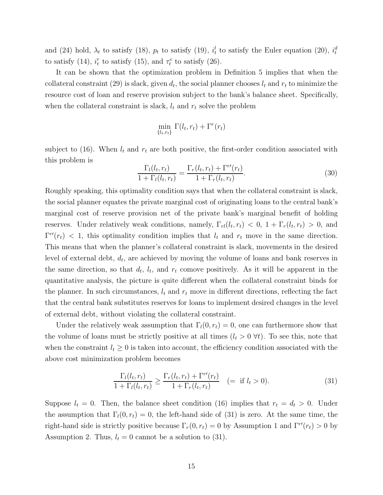and (24) hold,  $\lambda_t$  to satisfy (18),  $p_t$  to satisfy (19),  $i_t^l$  to satisfy the Euler equation (20),  $i_t^d$ to satisfy (14),  $i_t^r$  to satisfy (15), and  $\tau_t^c$  to satisfy (26).

It can be shown that the optimization problem in Definition 5 implies that when the collateral constraint (29) is slack, given  $d_t$ , the social planner chooses  $l_t$  and  $r_t$  to minimize the resource cost of loan and reserve provision subject to the bank's balance sheet. Specifically, when the collateral constraint is slack,  $l_t$  and  $r_t$  solve the problem

$$
\min_{\{l_t,r_t\}} \Gamma(l_t,r_t) + \Gamma^r(r_t)
$$

subject to (16). When  $l_t$  and  $r_t$  are both positive, the first-order condition associated with this problem is

$$
\frac{\Gamma_l(l_t, r_t)}{1 + \Gamma_l(l_t, r_t)} = \frac{\Gamma_r(l_t, r_t) + \Gamma^{r'}(r_t)}{1 + \Gamma_r(l_t, r_t)}.
$$
\n(30)

Roughly speaking, this optimality condition says that when the collateral constraint is slack, the social planner equates the private marginal cost of originating loans to the central bank's marginal cost of reserve provision net of the private bank's marginal benefit of holding reserves. Under relatively weak conditions, namely,  $\Gamma_{rl}(l_t, r_t) < 0$ ,  $1 + \Gamma_r(l_t, r_t) > 0$ , and  $\Gamma^{r}(r_t)$  < 1, this optimality condition implies that  $l_t$  and  $r_t$  move in the same direction. This means that when the planner's collateral constraint is slack, movements in the desired level of external debt,  $d_t$ , are achieved by moving the volume of loans and bank reserves in the same direction, so that  $d_t$ ,  $l_t$ , and  $r_t$  comove positively. As it will be apparent in the quantitative analysis, the picture is quite different when the collateral constraint binds for the planner. In such circumstances,  $l_t$  and  $r_t$  move in different directions, reflecting the fact that the central bank substitutes reserves for loans to implement desired changes in the level of external debt, without violating the collateral constraint.

Under the relatively weak assumption that  $\Gamma_l(0, r_t) = 0$ , one can furthermore show that the volume of loans must be strictly positive at all times  $(l_t > 0 \ \forall t)$ . To see this, note that when the constraint  $l_t \geq 0$  is taken into account, the efficiency condition associated with the above cost minimization problem becomes

$$
\frac{\Gamma_l(l_t, r_t)}{1 + \Gamma_l(l_t, r_t)} \ge \frac{\Gamma_r(l_t, r_t) + \Gamma^{r}(r_t)}{1 + \Gamma_r(l_t, r_t)} \quad (= \text{if } l_t > 0).
$$
\n(31)

Suppose  $l_t = 0$ . Then, the balance sheet condition (16) implies that  $r_t = d_t > 0$ . Under the assumption that  $\Gamma_l(0, r_t) = 0$ , the left-hand side of (31) is zero. At the same time, the right-hand side is strictly positive because  $\Gamma_r(0, r_t) = 0$  by Assumption 1 and  $\Gamma^{r}(r_t) > 0$  by Assumption 2. Thus,  $l_t = 0$  cannot be a solution to (31).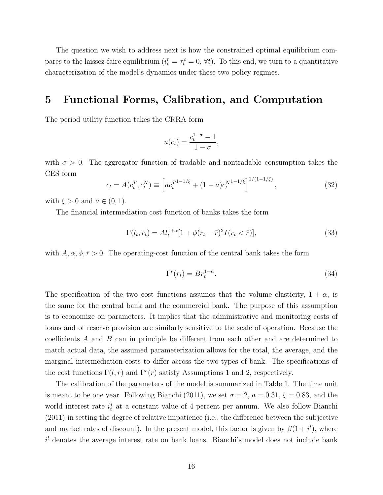The question we wish to address next is how the constrained optimal equilibrium compares to the laissez-faire equilibrium  $(i_t^r = \tau_t^c = 0, \forall t)$ . To this end, we turn to a quantitative characterization of the model's dynamics under these two policy regimes.

### 5 Functional Forms, Calibration, and Computation

The period utility function takes the CRRA form

$$
u(c_t) = \frac{c_t^{1-\sigma} - 1}{1 - \sigma},
$$

with  $\sigma > 0$ . The aggregator function of tradable and nontradable consumption takes the CES form

$$
c_t = A(c_t^T, c_t^N) \equiv \left[ ac_t^{T^{1-1/\xi}} + (1-a)c_t^{N^{1-1/\xi}} \right]^{1/(1-1/\xi)}, \qquad (32)
$$

with  $\xi > 0$  and  $a \in (0, 1)$ .

The financial intermediation cost function of banks takes the form

$$
\Gamma(l_t, r_t) = A l_t^{1+\alpha} [1 + \phi(r_t - \bar{r})^2 I(r_t < \bar{r})],
$$
\n(33)

with  $A, \alpha, \phi, \bar{r} > 0$ . The operating-cost function of the central bank takes the form

$$
\Gamma^r(r_t) = Br_t^{1+\alpha}.\tag{34}
$$

The specification of the two cost functions assumes that the volume elasticity,  $1 + \alpha$ , is the same for the central bank and the commercial bank. The purpose of this assumption is to economize on parameters. It implies that the administrative and monitoring costs of loans and of reserve provision are similarly sensitive to the scale of operation. Because the coefficients A and B can in principle be different from each other and are determined to match actual data, the assumed parameterization allows for the total, the average, and the marginal intermediation costs to differ across the two types of bank. The specifications of the cost functions  $\Gamma(l,r)$  and  $\Gamma^{r}(r)$  satisfy Assumptions 1 and 2, respectively.

The calibration of the parameters of the model is summarized in Table 1. The time unit is meant to be one year. Following Bianchi (2011), we set  $\sigma = 2$ ,  $a = 0.31$ ,  $\xi = 0.83$ , and the world interest rate  $i_t^*$  at a constant value of 4 percent per annum. We also follow Bianchi (2011) in setting the degree of relative impatience (i.e., the difference between the subjective and market rates of discount). In the present model, this factor is given by  $\beta(1+i^l)$ , where  $i<sup>l</sup>$  denotes the average interest rate on bank loans. Bianchi's model does not include bank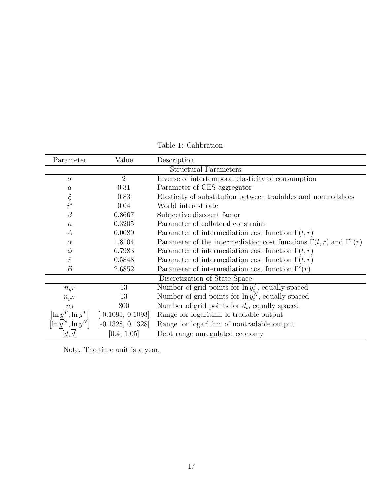| Parameter                                    | Value               | Description                                                                      |  |  |  |  |  |
|----------------------------------------------|---------------------|----------------------------------------------------------------------------------|--|--|--|--|--|
| <b>Structural Parameters</b>                 |                     |                                                                                  |  |  |  |  |  |
| $\sigma$                                     | $\overline{2}$      | Inverse of intertemporal elasticity of consumption                               |  |  |  |  |  |
| $\it a$                                      | 0.31                | Parameter of CES aggregator                                                      |  |  |  |  |  |
| ξ                                            | 0.83                | Elasticity of substitution between tradables and nontradables                    |  |  |  |  |  |
| $i^*$                                        | 0.04                | World interest rate                                                              |  |  |  |  |  |
| $\beta$                                      | 0.8667              | Subjective discount factor                                                       |  |  |  |  |  |
| $\kappa$                                     | 0.3205              | Parameter of collateral constraint                                               |  |  |  |  |  |
| $\overline{A}$                               | 0.0089              | Parameter of intermediation cost function $\Gamma(l,r)$                          |  |  |  |  |  |
| $\alpha$                                     | 1.8104              | Parameter of the intermediation cost functions $\Gamma(l,r)$ and $\Gamma^{r}(r)$ |  |  |  |  |  |
| $\phi$                                       | 6.7983              | Parameter of intermediation cost function $\Gamma(l,r)$                          |  |  |  |  |  |
| $\bar{r}$                                    | 0.5848              | Parameter of intermediation cost function $\Gamma(l,r)$                          |  |  |  |  |  |
| В                                            | 2.6852              | Parameter of intermediation cost function $\Gamma^r(r)$                          |  |  |  |  |  |
| Discretization of State Space                |                     |                                                                                  |  |  |  |  |  |
| $n_{yT}$                                     | 13                  | Number of grid points for $\ln y_t^T$ , equally spaced                           |  |  |  |  |  |
| $n_{yN}$                                     | 13                  | Number of grid points for $\ln y_t^N$ , equally spaced                           |  |  |  |  |  |
| $n_d$                                        | 800                 | Number of grid points for $d_t$ , equally spaced                                 |  |  |  |  |  |
| $\left  \ln y^T, \ln \overline{y}^T \right $ | $[-0.1093, 0.1093]$ | Range for logarithm of tradable output                                           |  |  |  |  |  |
| $\left[\ln y^N, \ln \overline{y}^N\right]$   | $[-0.1328, 0.1328]$ | Range for logarithm of nontradable output                                        |  |  |  |  |  |
| $\left[ \underline{d}, \overline{d} \right]$ | [0.4, 1.05]         | Debt range unregulated economy                                                   |  |  |  |  |  |

Table 1: Calibration

Note. The time unit is a year.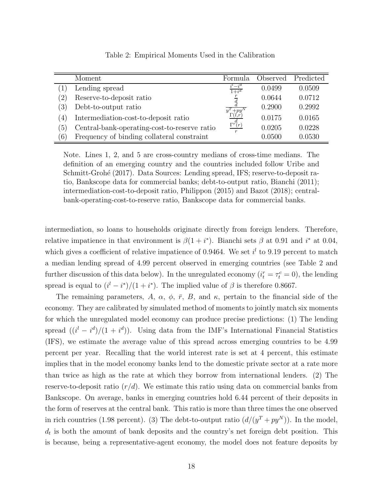|                   | Moment                                       | Formula                                         | Observed | Predicted |
|-------------------|----------------------------------------------|-------------------------------------------------|----------|-----------|
|                   | Lending spread                               | $-i^d$<br>$1+i^d$                               | 0.0499   | 0.0509    |
| $\left( 2\right)$ | Reserve-to-deposit ratio                     |                                                 | 0.0644   | 0.0712    |
| $\left(3\right)$  | Debt-to-output ratio                         | $y^T + py^N$                                    | 0.2900   | 0.2992    |
| (4)               | Intermediation-cost-to-deposit ratio         | $\Gamma(l,r)$                                   | 0.0175   | 0.0165    |
| $\left(5\right)$  | Central-bank-operating-cost-to-reserve ratio | $\Gamma^{r^{\scriptsize{d}}\hspace{-0.5pt}}(r)$ | 0.0205   | 0.0228    |
| $\left(6\right)$  | Frequency of binding collateral constraint   |                                                 | 0.0500   | 0.0530    |

Table 2: Empirical Moments Used in the Calibration

Note. Lines 1, 2, and 5 are cross-country medians of cross-time medians. The definition of an emerging country and the countries included follow Uribe and Schmitt-Grohé (2017). Data Sources: Lending spread, IFS; reserve-to-deposit ratio, Bankscope data for commercial banks; debt-to-output ratio, Bianchi (2011); intermediation-cost-to-deposit ratio, Philippon (2015) and Bazot (2018); centralbank-operating-cost-to-reserve ratio, Bankscope data for commercial banks.

intermediation, so loans to households originate directly from foreign lenders. Therefore, relative impatience in that environment is  $\beta(1+i^*)$ . Bianchi sets  $\beta$  at 0.91 and i<sup>\*</sup> at 0.04, which gives a coefficient of relative impatience of 0.9464. We set  $i<sup>l</sup>$  to 9.19 percent to match a median lending spread of 4.99 percent observed in emerging countries (see Table 2 and further discussion of this data below). In the unregulated economy  $(i_t^r = \tau_t^c = 0)$ , the lending spread is equal to  $(i^{l} - i^{*})/(1 + i^{*})$ . The implied value of  $\beta$  is therefore 0.8667.

The remaining parameters, A,  $\alpha$ ,  $\phi$ ,  $\bar{r}$ , B, and  $\kappa$ , pertain to the financial side of the economy. They are calibrated by simulated method of moments to jointly match six moments for which the unregulated model economy can produce precise predictions: (1) The lending spread  $((i<sup>l</sup> - i<sup>d</sup>)/(1 + i<sup>d</sup>))$ . Using data from the IMF's International Financial Statistics (IFS), we estimate the average value of this spread across emerging countries to be 4.99 percent per year. Recalling that the world interest rate is set at 4 percent, this estimate implies that in the model economy banks lend to the domestic private sector at a rate more than twice as high as the rate at which they borrow from international lenders. (2) The reserve-to-deposit ratio  $(r/d)$ . We estimate this ratio using data on commercial banks from Bankscope. On average, banks in emerging countries hold 6.44 percent of their deposits in the form of reserves at the central bank. This ratio is more than three times the one observed in rich countries (1.98 percent). (3) The debt-to-output ratio  $(d/(y^{T} + py^{N}))$ . In the model,  $d_t$  is both the amount of bank deposits and the country's net foreign debt position. This is because, being a representative-agent economy, the model does not feature deposits by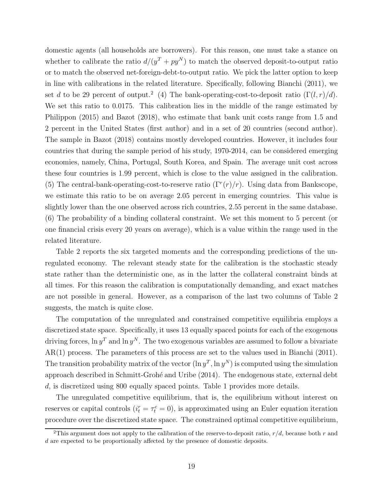domestic agents (all households are borrowers). For this reason, one must take a stance on whether to calibrate the ratio  $d/(y^T + py^N)$  to match the observed deposit-to-output ratio or to match the observed net-foreign-debt-to-output ratio. We pick the latter option to keep in line with calibrations in the related literature. Specifically, following Bianchi (2011), we set d to be 29 percent of output.<sup>2</sup> (4) The bank-operating-cost-to-deposit ratio  $(\Gamma(l,r)/d)$ . We set this ratio to 0.0175. This calibration lies in the middle of the range estimated by Philippon (2015) and Bazot (2018), who estimate that bank unit costs range from 1.5 and 2 percent in the United States (first author) and in a set of 20 countries (second author). The sample in Bazot (2018) contains mostly developed countries. However, it includes four countries that during the sample period of his study, 1970-2014, can be considered emerging economies, namely, China, Portugal, South Korea, and Spain. The average unit cost across these four countries is 1.99 percent, which is close to the value assigned in the calibration. (5) The central-bank-operating-cost-to-reserve ratio  $(\Gamma^r(r)/r)$ . Using data from Bankscope, we estimate this ratio to be on average 2.05 percent in emerging countries. This value is slightly lower than the one observed across rich countries, 2.55 percent in the same database. (6) The probability of a binding collateral constraint. We set this moment to 5 percent (or one financial crisis every 20 years on average), which is a value within the range used in the related literature.

Table 2 reports the six targeted moments and the corresponding predictions of the unregulated economy. The relevant steady state for the calibration is the stochastic steady state rather than the deterministic one, as in the latter the collateral constraint binds at all times. For this reason the calibration is computationally demanding, and exact matches are not possible in general. However, as a comparison of the last two columns of Table 2 suggests, the match is quite close.

The computation of the unregulated and constrained competitive equilibria employs a discretized state space. Specifically, it uses 13 equally spaced points for each of the exogenous driving forces,  $\ln y^T$  and  $\ln y^N$ . The two exogenous variables are assumed to follow a bivariate AR(1) process. The parameters of this process are set to the values used in Bianchi (2011). The transition probability matrix of the vector  $(\ln y^T, \ln y^N)$  is computed using the simulation approach described in Schmitt-Grohé and Uribe (2014). The endogenous state, external debt d, is discretized using 800 equally spaced points. Table 1 provides more details.

The unregulated competitive equilibrium, that is, the equilibrium without interest on reserves or capital controls  $(i_t^r = \tau_t^c = 0)$ , is approximated using an Euler equation iteration procedure over the discretized state space. The constrained optimal competitive equilibrium,

<sup>&</sup>lt;sup>2</sup>This argument does not apply to the calibration of the reserve-to-deposit ratio,  $r/d$ , because both r and d are expected to be proportionally affected by the presence of domestic deposits.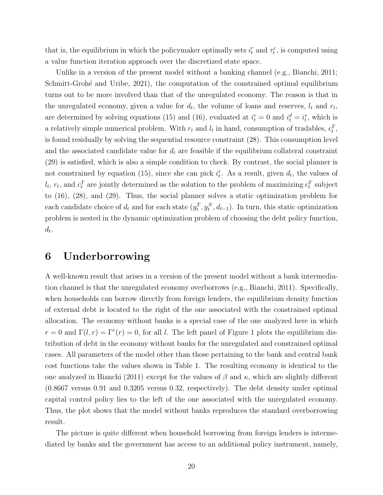that is, the equilibrium in which the policymaker optimally sets  $i_t^r$  and  $\tau_t^c$ , is computed using a value function iteration approach over the discretized state space.

Unlike in a version of the present model without a banking channel (e.g., Bianchi, 2011; Schmitt-Grohé and Uribe, 2021), the computation of the constrained optimal equilibrium turns out to be more involved than that of the unregulated economy. The reason is that in the unregulated economy, given a value for  $d_t$ , the volume of loans and reserves,  $l_t$  and  $r_t$ , are determined by solving equations (15) and (16), evaluated at  $i_t^r = 0$  and  $i_t^d = i_t^*$ , which is a relatively simple numerical problem. With  $r_t$  and  $l_t$  in hand, consumption of tradables,  $c_t^T$ , is found residually by solving the sequential resource constraint (28). This consumption level and the associated candidate value for  $d_t$  are feasible if the equilibrium collateral constraint (29) is satisfied, which is also a simple condition to check. By contrast, the social planner is not constrained by equation (15), since she can pick  $i_t^r$ . As a result, given  $d_t$ , the values of  $l_t$ ,  $r_t$ , and  $c_t^T$  are jointly determined as the solution to the problem of maximizing  $c_t^T$  subject to (16), (28), and (29). Thus, the social planner solves a static optimization problem for each candidate choice of  $d_t$  and for each state  $(y_t^T, y_t^N, d_{t-1})$ . In turn, this static optimization problem is nested in the dynamic optimization problem of choosing the debt policy function,  $d_t$ .

## 6 Underborrowing

A well-known result that arises in a version of the present model without a bank intermediation channel is that the unregulated economy overborrows (e.g., Bianchi, 2011). Specifically, when households can borrow directly from foreign lenders, the equilibrium density function of external debt is located to the right of the one associated with the constrained optimal allocation. The economy without banks is a special case of the one analyzed here in which  $r = 0$  and  $\Gamma(l, r) = \Gamma^{r}(r) = 0$ , for all l. The left panel of Figure 1 plots the equilibrium distribution of debt in the economy without banks for the unregulated and constrained optimal cases. All parameters of the model other than those pertaining to the bank and central bank cost functions take the values shown in Table 1. The resulting economy is identical to the one analyzed in Bianchi (2011) except for the values of  $\beta$  and  $\kappa$ , which are slightly different (0.8667 versus 0.91 and 0.3205 versus 0.32, respectively). The debt density under optimal capital control policy lies to the left of the one associated with the unregulated economy. Thus, the plot shows that the model without banks reproduces the standard overborrowing result.

The picture is quite different when household borrowing from foreign lenders is intermediated by banks and the government has access to an additional policy instrument, namely,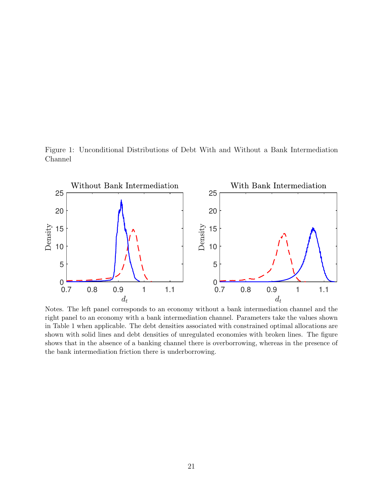Figure 1: Unconditional Distributions of Debt With and Without a Bank Intermediation Channel



Notes. The left panel corresponds to an economy without a bank intermediation channel and the right panel to an economy with a bank intermediation channel. Parameters take the values shown in Table 1 when applicable. The debt densities associated with constrained optimal allocations are shown with solid lines and debt densities of unregulated economies with broken lines. The figure shows that in the absence of a banking channel there is overborrowing, whereas in the presence of the bank intermediation friction there is underborrowing.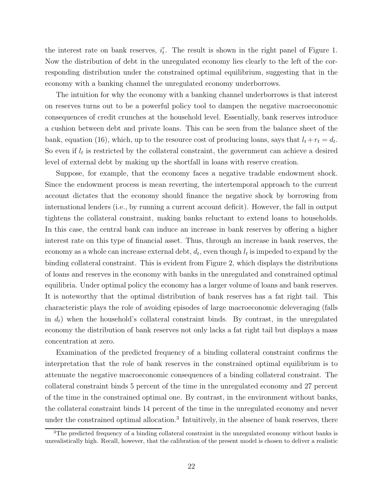the interest rate on bank reserves,  $i_t^r$ . The result is shown in the right panel of Figure 1. Now the distribution of debt in the unregulated economy lies clearly to the left of the corresponding distribution under the constrained optimal equilibrium, suggesting that in the economy with a banking channel the unregulated economy underborrows.

The intuition for why the economy with a banking channel underborrows is that interest on reserves turns out to be a powerful policy tool to dampen the negative macroeconomic consequences of credit crunches at the household level. Essentially, bank reserves introduce a cushion between debt and private loans. This can be seen from the balance sheet of the bank, equation (16), which, up to the resource cost of producing loans, says that  $l_t + r_t = d_t$ . So even if  $l_t$  is restricted by the collateral constraint, the government can achieve a desired level of external debt by making up the shortfall in loans with reserve creation.

Suppose, for example, that the economy faces a negative tradable endowment shock. Since the endowment process is mean reverting, the intertemporal approach to the current account dictates that the economy should finance the negative shock by borrowing from international lenders (i.e., by running a current account deficit). However, the fall in output tightens the collateral constraint, making banks reluctant to extend loans to households. In this case, the central bank can induce an increase in bank reserves by offering a higher interest rate on this type of financial asset. Thus, through an increase in bank reserves, the economy as a whole can increase external debt,  $d_t$ , even though  $l_t$  is impeded to expand by the binding collateral constraint. This is evident from Figure 2, which displays the distributions of loans and reserves in the economy with banks in the unregulated and constrained optimal equilibria. Under optimal policy the economy has a larger volume of loans and bank reserves. It is noteworthy that the optimal distribution of bank reserves has a fat right tail. This characteristic plays the role of avoiding episodes of large macroeconomic deleveraging (falls in  $d_t$ ) when the household's collateral constraint binds. By contrast, in the unregulated economy the distribution of bank reserves not only lacks a fat right tail but displays a mass concentration at zero.

Examination of the predicted frequency of a binding collateral constraint confirms the interpretation that the role of bank reserves in the constrained optimal equilibrium is to attenuate the negative macroeconomic consequences of a binding collateral constraint. The collateral constraint binds 5 percent of the time in the unregulated economy and 27 percent of the time in the constrained optimal one. By contrast, in the environment without banks, the collateral constraint binds 14 percent of the time in the unregulated economy and never under the constrained optimal allocation.<sup>3</sup> Intuitively, in the absence of bank reserves, there

 $3$ The predicted frequency of a binding collateral constraint in the unregulated economy without banks is unrealistically high. Recall, however, that the calibration of the present model is chosen to deliver a realistic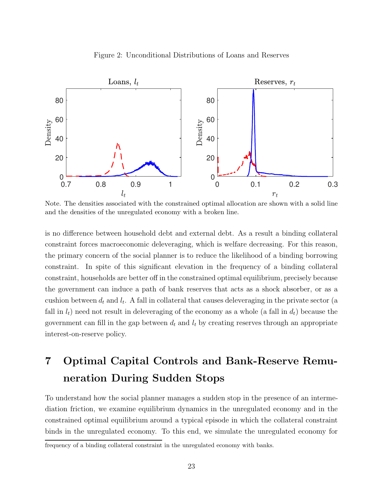#### Figure 2: Unconditional Distributions of Loans and Reserves



Note. The densities associated with the constrained optimal allocation are shown with a solid line and the densities of the unregulated economy with a broken line.

is no difference between household debt and external debt. As a result a binding collateral constraint forces macroeconomic deleveraging, which is welfare decreasing. For this reason, the primary concern of the social planner is to reduce the likelihood of a binding borrowing constraint. In spite of this significant elevation in the frequency of a binding collateral constraint, households are better off in the constrained optimal equilibrium, precisely because the government can induce a path of bank reserves that acts as a shock absorber, or as a cushion between  $d_t$  and  $l_t$ . A fall in collateral that causes deleveraging in the private sector (a fall in  $l_t$ ) need not result in deleveraging of the economy as a whole (a fall in  $d_t$ ) because the government can fill in the gap between  $d_t$  and  $l_t$  by creating reserves through an appropriate interest-on-reserve policy.

## 7 Optimal Capital Controls and Bank-Reserve Remuneration During Sudden Stops

To understand how the social planner manages a sudden stop in the presence of an intermediation friction, we examine equilibrium dynamics in the unregulated economy and in the constrained optimal equilibrium around a typical episode in which the collateral constraint binds in the unregulated economy. To this end, we simulate the unregulated economy for

frequency of a binding collateral constraint in the unregulated economy with banks.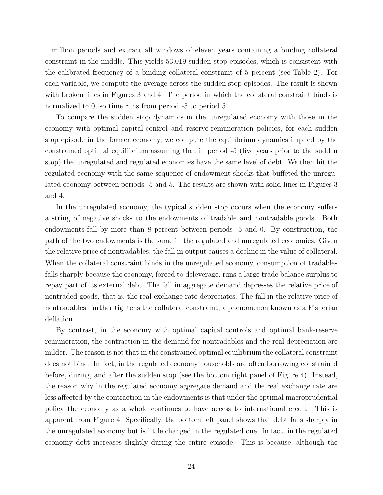1 million periods and extract all windows of eleven years containing a binding collateral constraint in the middle. This yields 53,019 sudden stop episodes, which is consistent with the calibrated frequency of a binding collateral constraint of 5 percent (see Table 2). For each variable, we compute the average across the sudden stop episodes. The result is shown with broken lines in Figures 3 and 4. The period in which the collateral constraint binds is normalized to 0, so time runs from period -5 to period 5.

To compare the sudden stop dynamics in the unregulated economy with those in the economy with optimal capital-control and reserve-remuneration policies, for each sudden stop episode in the former economy, we compute the equilibrium dynamics implied by the constrained optimal equilibrium assuming that in period -5 (five years prior to the sudden stop) the unregulated and regulated economies have the same level of debt. We then hit the regulated economy with the same sequence of endowment shocks that buffeted the unregulated economy between periods -5 and 5. The results are shown with solid lines in Figures 3 and 4.

In the unregulated economy, the typical sudden stop occurs when the economy suffers a string of negative shocks to the endowments of tradable and nontradable goods. Both endowments fall by more than 8 percent between periods -5 and 0. By construction, the path of the two endowments is the same in the regulated and unregulated economies. Given the relative price of nontradables, the fall in output causes a decline in the value of collateral. When the collateral constraint binds in the unregulated economy, consumption of tradables falls sharply because the economy, forced to deleverage, runs a large trade balance surplus to repay part of its external debt. The fall in aggregate demand depresses the relative price of nontraded goods, that is, the real exchange rate depreciates. The fall in the relative price of nontradables, further tightens the collateral constraint, a phenomenon known as a Fisherian deflation.

By contrast, in the economy with optimal capital controls and optimal bank-reserve remuneration, the contraction in the demand for nontradables and the real depreciation are milder. The reason is not that in the constrained optimal equilibrium the collateral constraint does not bind. In fact, in the regulated economy households are often borrowing constrained before, during, and after the sudden stop (see the bottom right panel of Figure 4). Instead, the reason why in the regulated economy aggregate demand and the real exchange rate are less affected by the contraction in the endowments is that under the optimal macroprudential policy the economy as a whole continues to have access to international credit. This is apparent from Figure 4. Specifically, the bottom left panel shows that debt falls sharply in the unregulated economy but is little changed in the regulated one. In fact, in the regulated economy debt increases slightly during the entire episode. This is because, although the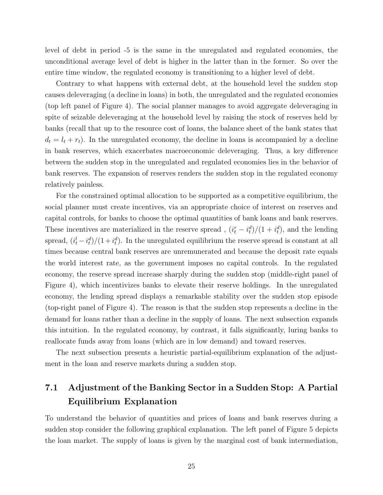level of debt in period -5 is the same in the unregulated and regulated economies, the unconditional average level of debt is higher in the latter than in the former. So over the entire time window, the regulated economy is transitioning to a higher level of debt.

Contrary to what happens with external debt, at the household level the sudden stop causes deleveraging (a decline in loans) in both, the unregulated and the regulated economies (top left panel of Figure 4). The social planner manages to avoid aggregate deleveraging in spite of seizable deleveraging at the household level by raising the stock of reserves held by banks (recall that up to the resource cost of loans, the balance sheet of the bank states that  $d_t = l_t + r_t$ ). In the unregulated economy, the decline in loans is accompanied by a decline in bank reserves, which exacerbates macroeconomic deleveraging. Thus, a key difference between the sudden stop in the unregulated and regulated economies lies in the behavior of bank reserves. The expansion of reserves renders the sudden stop in the regulated economy relatively painless.

For the constrained optimal allocation to be supported as a competitive equilibrium, the social planner must create incentives, via an appropriate choice of interest on reserves and capital controls, for banks to choose the optimal quantities of bank loans and bank reserves. These incentives are materialized in the reserve spread,  $(i_t^r - i_t^d)/(1 + i_t^d)$ , and the lending spread,  $(i_t^l - i_t^d)/(1 + i_t^d)$ . In the unregulated equilibrium the reserve spread is constant at all times because central bank reserves are unremunerated and because the deposit rate equals the world interest rate, as the government imposes no capital controls. In the regulated economy, the reserve spread increase sharply during the sudden stop (middle-right panel of Figure 4), which incentivizes banks to elevate their reserve holdings. In the unregulated economy, the lending spread displays a remarkable stability over the sudden stop episode (top-right panel of Figure 4). The reason is that the sudden stop represents a decline in the demand for loans rather than a decline in the supply of loans. The next subsection expands this intuition. In the regulated economy, by contrast, it falls significantly, luring banks to reallocate funds away from loans (which are in low demand) and toward reserves.

The next subsection presents a heuristic partial-equilibrium explanation of the adjustment in the loan and reserve markets during a sudden stop.

## 7.1 Adjustment of the Banking Sector in a Sudden Stop: A Partial Equilibrium Explanation

To understand the behavior of quantities and prices of loans and bank reserves during a sudden stop consider the following graphical explanation. The left panel of Figure 5 depicts the loan market. The supply of loans is given by the marginal cost of bank intermediation,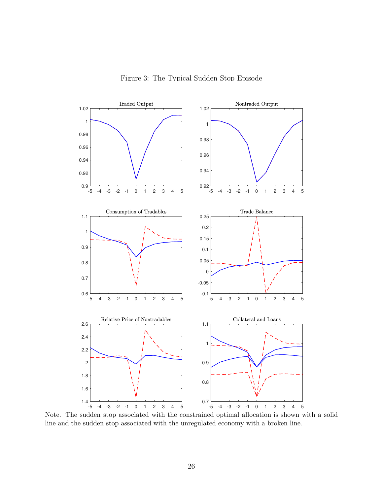Figure 3: The Typical Sudden Stop Episode



Note. The sudden stop associated with the constrained optimal allocation is shown with a solid line and the sudden stop associated with the unregulated economy with a broken line.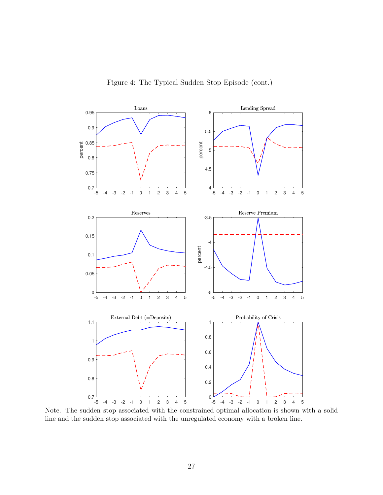

Figure 4: The Typical Sudden Stop Episode (cont.)

Note. The sudden stop associated with the constrained optimal allocation is shown with a solid line and the sudden stop associated with the unregulated economy with a broken line.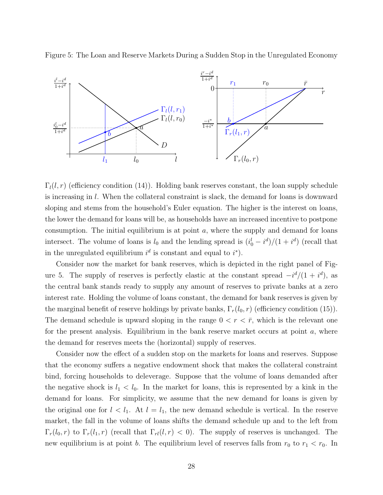



 $\Gamma_l(l,r)$  (efficiency condition (14)). Holding bank reserves constant, the loan supply schedule is increasing in l. When the collateral constraint is slack, the demand for loans is downward sloping and stems from the household's Euler equation. The higher is the interest on loans, the lower the demand for loans will be, as households have an increased incentive to postpone consumption. The initial equilibrium is at point  $a$ , where the supply and demand for loans intersect. The volume of loans is  $l_0$  and the lending spread is  $(i_0^l - i^d)/(1 + i^d)$  (recall that in the unregulated equilibrium  $i^d$  is constant and equal to  $i^*$ ).

Consider now the market for bank reserves, which is depicted in the right panel of Figure 5. The supply of reserves is perfectly elastic at the constant spread  $-i^d/(1+i^d)$ , as the central bank stands ready to supply any amount of reserves to private banks at a zero interest rate. Holding the volume of loans constant, the demand for bank reserves is given by the marginal benefit of reserve holdings by private banks,  $\Gamma_r(l_0, r)$  (efficiency condition (15)). The demand schedule is upward sloping in the range  $0 < r < \bar{r}$ , which is the relevant one for the present analysis. Equilibrium in the bank reserve market occurs at point  $a$ , where the demand for reserves meets the (horizontal) supply of reserves.

Consider now the effect of a sudden stop on the markets for loans and reserves. Suppose that the economy suffers a negative endowment shock that makes the collateral constraint bind, forcing households to deleverage. Suppose that the volume of loans demanded after the negative shock is  $l_1 < l_0$ . In the market for loans, this is represented by a kink in the demand for loans. For simplicity, we assume that the new demand for loans is given by the original one for  $l < l_1$ . At  $l = l_1$ , the new demand schedule is vertical. In the reserve market, the fall in the volume of loans shifts the demand schedule up and to the left from  $\Gamma_r(l_0,r)$  to  $\Gamma_r(l_1,r)$  (recall that  $\Gamma_{rl}(l,r) < 0$ ). The supply of reserves is unchanged. The new equilibrium is at point b. The equilibrium level of reserves falls from  $r_0$  to  $r_1 < r_0$ . In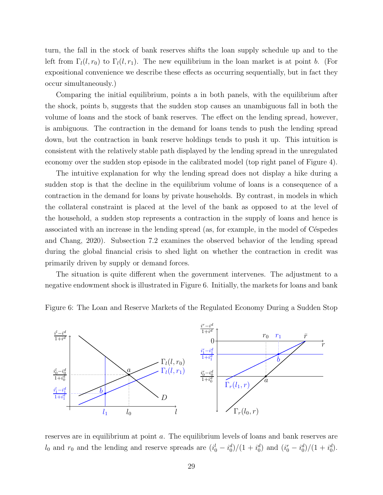turn, the fall in the stock of bank reserves shifts the loan supply schedule up and to the left from  $\Gamma_l(l, r_0)$  to  $\Gamma_l(l, r_1)$ . The new equilibrium in the loan market is at point b. (For expositional convenience we describe these effects as occurring sequentially, but in fact they occur simultaneously.)

Comparing the initial equilibrium, points a in both panels, with the equilibrium after the shock, points b, suggests that the sudden stop causes an unambiguous fall in both the volume of loans and the stock of bank reserves. The effect on the lending spread, however, is ambiguous. The contraction in the demand for loans tends to push the lending spread down, but the contraction in bank reserve holdings tends to push it up. This intuition is consistent with the relatively stable path displayed by the lending spread in the unregulated economy over the sudden stop episode in the calibrated model (top right panel of Figure 4).

The intuitive explanation for why the lending spread does not display a hike during a sudden stop is that the decline in the equilibrium volume of loans is a consequence of a contraction in the demand for loans by private households. By contrast, in models in which the collateral constraint is placed at the level of the bank as opposed to at the level of the household, a sudden stop represents a contraction in the supply of loans and hence is associated with an increase in the lending spread (as, for example, in the model of Céspedes and Chang, 2020). Subsection 7.2 examines the observed behavior of the lending spread during the global financial crisis to shed light on whether the contraction in credit was primarily driven by supply or demand forces.

The situation is quite different when the government intervenes. The adjustment to a negative endowment shock is illustrated in Figure 6. Initially, the markets for loans and bank

Figure 6: The Loan and Reserve Markets of the Regulated Economy During a Sudden Stop



reserves are in equilibrium at point a. The equilibrium levels of loans and bank reserves are  $l_0$  and  $r_0$  and the lending and reserve spreads are  $(i_0^l - i_0^d)/(1 + i_0^d)$  and  $(i_0^r - i_0^d)/(1 + i_0^d)$ .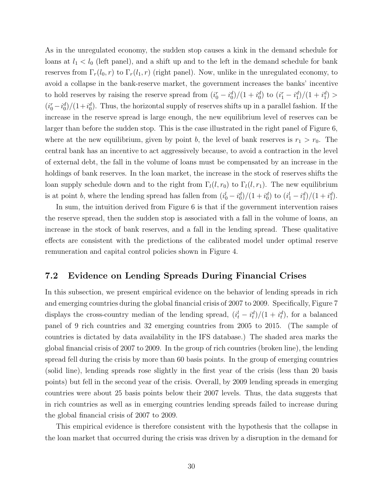As in the unregulated economy, the sudden stop causes a kink in the demand schedule for loans at  $l_1 < l_0$  (left panel), and a shift up and to the left in the demand schedule for bank reserves from  $\Gamma_r(l_0,r)$  to  $\Gamma_r(l_1,r)$  (right panel). Now, unlike in the unregulated economy, to avoid a collapse in the bank-reserve market, the government increases the banks' incentive to hold reserves by raising the reserve spread from  $(i_0^r - i_0^d)/(1 + i_0^d)$  to  $(i_1^r - i_1^d)/(1 + i_1^d)$  $(i_0^r - i_0^d)/(1 + i_0^d)$ . Thus, the horizontal supply of reserves shifts up in a parallel fashion. If the increase in the reserve spread is large enough, the new equilibrium level of reserves can be larger than before the sudden stop. This is the case illustrated in the right panel of Figure 6, where at the new equilibrium, given by point b, the level of bank reserves is  $r_1 > r_0$ . The central bank has an incentive to act aggressively because, to avoid a contraction in the level of external debt, the fall in the volume of loans must be compensated by an increase in the holdings of bank reserves. In the loan market, the increase in the stock of reserves shifts the loan supply schedule down and to the right from  $\Gamma_l(l, r_0)$  to  $\Gamma_l(l, r_1)$ . The new equilibrium is at point b, where the lending spread has fallen from  $(i_0^l - i_0^d)/(1 + i_0^d)$  to  $(i_1^l - i_1^d)/(1 + i_1^d)$ .

In sum, the intuition derived from Figure 6 is that if the government intervention raises the reserve spread, then the sudden stop is associated with a fall in the volume of loans, an increase in the stock of bank reserves, and a fall in the lending spread. These qualitative effects are consistent with the predictions of the calibrated model under optimal reserve remuneration and capital control policies shown in Figure 4.

### 7.2 Evidence on Lending Spreads During Financial Crises

In this subsection, we present empirical evidence on the behavior of lending spreads in rich and emerging countries during the global financial crisis of 2007 to 2009. Specifically, Figure 7 displays the cross-country median of the lending spread,  $(i_t^l - i_t^d)/(1 + i_t^d)$ , for a balanced panel of 9 rich countries and 32 emerging countries from 2005 to 2015. (The sample of countries is dictated by data availability in the IFS database.) The shaded area marks the global financial crisis of 2007 to 2009. In the group of rich countries (broken line), the lending spread fell during the crisis by more than 60 basis points. In the group of emerging countries (solid line), lending spreads rose slightly in the first year of the crisis (less than 20 basis points) but fell in the second year of the crisis. Overall, by 2009 lending spreads in emerging countries were about 25 basis points below their 2007 levels. Thus, the data suggests that in rich countries as well as in emerging countries lending spreads failed to increase during the global financial crisis of 2007 to 2009.

This empirical evidence is therefore consistent with the hypothesis that the collapse in the loan market that occurred during the crisis was driven by a disruption in the demand for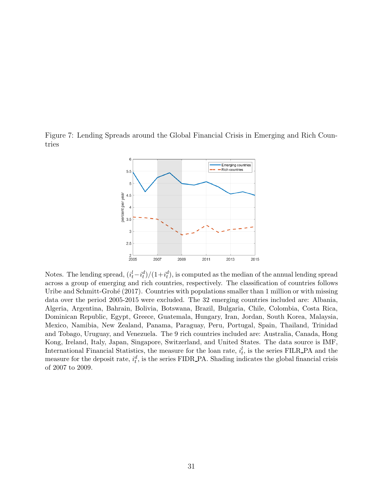Figure 7: Lending Spreads around the Global Financial Crisis in Emerging and Rich Countries



Notes. The lending spread,  $(i_t^l - i_t^d)/(1 + i_t^d)$ , is computed as the median of the annual lending spread across a group of emerging and rich countries, respectively. The classification of countries follows Uribe and Schmitt-Grohé (2017). Countries with populations smaller than 1 million or with missing data over the period 2005-2015 were excluded. The 32 emerging countries included are: Albania, Algeria, Argentina, Bahrain, Bolivia, Botswana, Brazil, Bulgaria, Chile, Colombia, Costa Rica, Dominican Republic, Egypt, Greece, Guatemala, Hungary, Iran, Jordan, South Korea, Malaysia, Mexico, Namibia, New Zealand, Panama, Paraguay, Peru, Portugal, Spain, Thailand, Trinidad and Tobago, Uruguay, and Venezuela. The 9 rich countries included are: Australia, Canada, Hong Kong, Ireland, Italy, Japan, Singapore, Switzerland, and United States. The data source is IMF, International Financial Statistics, the measure for the loan rate,  $i_t^l$ , is the series FILR\_PA and the measure for the deposit rate,  $i_t^d$ , is the series FIDR\_PA. Shading indicates the global financial crisis of 2007 to 2009.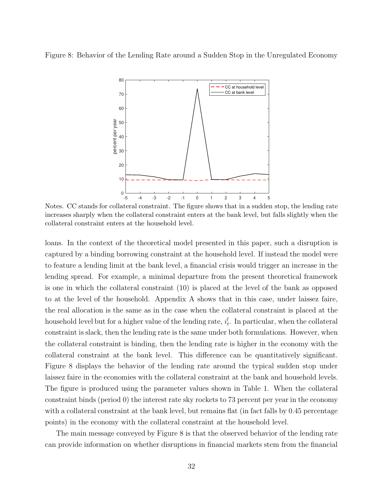Figure 8: Behavior of the Lending Rate around a Sudden Stop in the Unregulated Economy



Notes. CC stands for collateral constraint. The figure shows that in a sudden stop, the lending rate increases sharply when the collateral constraint enters at the bank level, but falls slightly when the collateral constraint enters at the household level.

loans. In the context of the theoretical model presented in this paper, such a disruption is captured by a binding borrowing constraint at the household level. If instead the model were to feature a lending limit at the bank level, a financial crisis would trigger an increase in the lending spread. For example, a minimal departure from the present theoretical framework is one in which the collateral constraint (10) is placed at the level of the bank as opposed to at the level of the household. Appendix A shows that in this case, under laissez faire, the real allocation is the same as in the case when the collateral constraint is placed at the household level but for a higher value of the lending rate,  $i_t^l$ . In particular, when the collateral constraint is slack, then the lending rate is the same under both formulations. However, when the collateral constraint is binding, then the lending rate is higher in the economy with the collateral constraint at the bank level. This difference can be quantitatively significant. Figure 8 displays the behavior of the lending rate around the typical sudden stop under laissez faire in the economies with the collateral constraint at the bank and household levels. The figure is produced using the parameter values shown in Table 1. When the collateral constraint binds (period 0) the interest rate sky rockets to 73 percent per year in the economy with a collateral constraint at the bank level, but remains flat (in fact falls by 0.45 percentage points) in the economy with the collateral constraint at the household level.

The main message conveyed by Figure 8 is that the observed behavior of the lending rate can provide information on whether disruptions in financial markets stem from the financial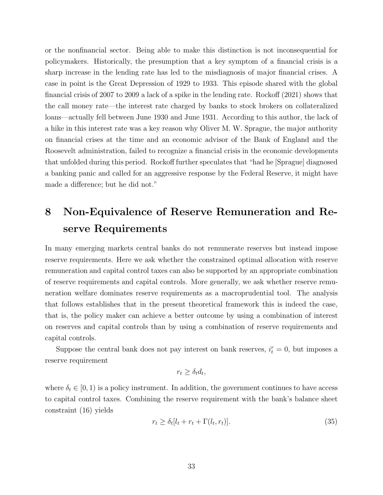or the nonfinancial sector. Being able to make this distinction is not inconsequential for policymakers. Historically, the presumption that a key symptom of a financial crisis is a sharp increase in the lending rate has led to the misdiagnosis of major financial crises. A case in point is the Great Depression of 1929 to 1933. This episode shared with the global financial crisis of 2007 to 2009 a lack of a spike in the lending rate. Rockoff (2021) shows that the call money rate—the interest rate charged by banks to stock brokers on collateralized loans—actually fell between June 1930 and June 1931. According to this author, the lack of a hike in this interest rate was a key reason why Oliver M. W. Sprague, the major authority on financial crises at the time and an economic advisor of the Bank of England and the Roosevelt administration, failed to recognize a financial crisis in the economic developments that unfolded during this period. Rockoff further speculates that "had he [Sprague] diagnosed a banking panic and called for an aggressive response by the Federal Reserve, it might have made a difference; but he did not."

## 8 Non-Equivalence of Reserve Remuneration and Reserve Requirements

In many emerging markets central banks do not remunerate reserves but instead impose reserve requirements. Here we ask whether the constrained optimal allocation with reserve remuneration and capital control taxes can also be supported by an appropriate combination of reserve requirements and capital controls. More generally, we ask whether reserve remuneration welfare dominates reserve requirements as a macroprudential tool. The analysis that follows establishes that in the present theoretical framework this is indeed the case, that is, the policy maker can achieve a better outcome by using a combination of interest on reserves and capital controls than by using a combination of reserve requirements and capital controls.

Suppose the central bank does not pay interest on bank reserves,  $i_t^r = 0$ , but imposes a reserve requirement

$$
r_t \geq \delta_t d_t,
$$

where  $\delta_t \in [0, 1)$  is a policy instrument. In addition, the government continues to have access to capital control taxes. Combining the reserve requirement with the bank's balance sheet constraint (16) yields

$$
r_t \ge \delta_t[l_t + r_t + \Gamma(l_t, r_t)].\tag{35}
$$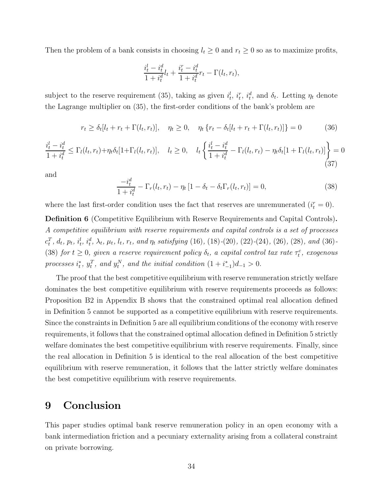Then the problem of a bank consists in choosing  $l_t \geq 0$  and  $r_t \geq 0$  so as to maximize profits,

$$
\frac{i_t^l - i_t^d}{1 + i_t^d} l_t + \frac{i_t^r - i_t^d}{1 + i_t^d} r_t - \Gamma(l_t, r_t),
$$

subject to the reserve requirement (35), taking as given  $i_t^l$ ,  $i_t^r$ ,  $i_t^d$ , and  $\delta_t$ . Letting  $\eta_t$  denote the Lagrange multiplier on (35), the first-order conditions of the bank's problem are

$$
r_t \ge \delta_t[l_t + r_t + \Gamma(l_t, r_t)], \quad \eta_t \ge 0, \quad \eta_t \{r_t - \delta_t[l_t + r_t + \Gamma(l_t, r_t)]\} = 0 \tag{36}
$$

$$
\frac{i_t^l - i_t^d}{1 + i_t^d} \le \Gamma_l(l_t, r_t) + \eta_t \delta_t [1 + \Gamma_l(l_t, r_t)], \quad l_t \ge 0, \quad l_t \left\{ \frac{i_t^l - i_t^d}{1 + i_t^d} - \Gamma_l(l_t, r_t) - \eta_t \delta_t [1 + \Gamma_l(l_t, r_t)] \right\} = 0
$$
\n(37)

and

$$
\frac{-i_t^d}{1+i_t^d} - \Gamma_r(l_t, r_t) - \eta_t [1 - \delta_t - \delta_t \Gamma_r(l_t, r_t)] = 0,
$$
\n(38)

where the last first-order condition uses the fact that reserves are unremunerated  $(i_t^r = 0)$ .

Definition 6 (Competitive Equilibrium with Reserve Requirements and Capital Controls). A competitive equilibrium with reserve requirements and capital controls is a set of processes  $c_t^T$ ,  $d_t$ ,  $p_t$ ,  $i_t^l$ ,  $i_t^d$ ,  $\lambda_t$ ,  $\mu_t$ ,  $l_t$ ,  $r_t$ , and  $\eta_t$  satisfying (16), (18)-(20), (22)-(24), (26), (28), and (36)-(38) for  $t \geq 0$ , given a reserve requirement policy  $\delta_t$ , a capital control tax rate  $\tau_t^c$ , exogenous processes  $i_t^*, y_t^T$ , and  $y_t^N$ , and the initial condition  $(1 + i_{-1}^*)d_{-1} > 0$ .

The proof that the best competitive equilibrium with reserve remuneration strictly welfare dominates the best competitive equilibrium with reserve requirements proceeds as follows: Proposition B2 in Appendix B shows that the constrained optimal real allocation defined in Definition 5 cannot be supported as a competitive equilibrium with reserve requirements. Since the constraints in Definition 5 are all equilibrium conditions of the economy with reserve requirements, it follows that the constrained optimal allocation defined in Definition 5 strictly welfare dominates the best competitive equilibrium with reserve requirements. Finally, since the real allocation in Definition 5 is identical to the real allocation of the best competitive equilibrium with reserve remuneration, it follows that the latter strictly welfare dominates the best competitive equilibrium with reserve requirements.

## 9 Conclusion

This paper studies optimal bank reserve remuneration policy in an open economy with a bank intermediation friction and a pecuniary externality arising from a collateral constraint on private borrowing.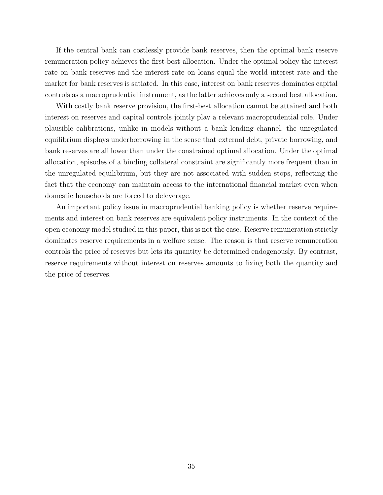If the central bank can costlessly provide bank reserves, then the optimal bank reserve remuneration policy achieves the first-best allocation. Under the optimal policy the interest rate on bank reserves and the interest rate on loans equal the world interest rate and the market for bank reserves is satiated. In this case, interest on bank reserves dominates capital controls as a macroprudential instrument, as the latter achieves only a second best allocation.

With costly bank reserve provision, the first-best allocation cannot be attained and both interest on reserves and capital controls jointly play a relevant macroprudential role. Under plausible calibrations, unlike in models without a bank lending channel, the unregulated equilibrium displays underborrowing in the sense that external debt, private borrowing, and bank reserves are all lower than under the constrained optimal allocation. Under the optimal allocation, episodes of a binding collateral constraint are significantly more frequent than in the unregulated equilibrium, but they are not associated with sudden stops, reflecting the fact that the economy can maintain access to the international financial market even when domestic households are forced to deleverage.

An important policy issue in macroprudential banking policy is whether reserve requirements and interest on bank reserves are equivalent policy instruments. In the context of the open economy model studied in this paper, this is not the case. Reserve remuneration strictly dominates reserve requirements in a welfare sense. The reason is that reserve remuneration controls the price of reserves but lets its quantity be determined endogenously. By contrast, reserve requirements without interest on reserves amounts to fixing both the quantity and the price of reserves.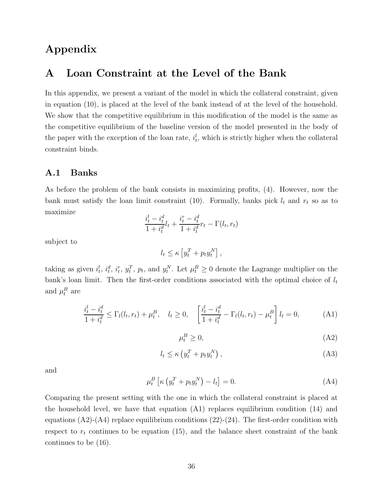## Appendix

### A Loan Constraint at the Level of the Bank

In this appendix, we present a variant of the model in which the collateral constraint, given in equation (10), is placed at the level of the bank instead of at the level of the household. We show that the competitive equilibrium in this modification of the model is the same as the competitive equilibrium of the baseline version of the model presented in the body of the paper with the exception of the loan rate,  $i_t^l$ , which is strictly higher when the collateral constraint binds.

### A.1 Banks

As before the problem of the bank consists in maximizing profits, (4). However, now the bank must satisfy the loan limit constraint (10). Formally, banks pick  $l_t$  and  $r_t$  so as to maximize

$$
\frac{i_t^l-i_t^d}{1+i_t^d}l_t + \frac{i_t^r-i_t^d}{1+i_t^d}r_t - \Gamma(l_t,r_t)
$$

subject to

$$
l_t \leq \kappa \left[ y_t^T + p_t y_t^N \right],
$$

taking as given  $i_t^l$ ,  $i_t^d$ ,  $i_t^r$ ,  $y_t^T$ ,  $p_t$ , and  $y_t^N$ . Let  $\mu_t^B \geq 0$  denote the Lagrange multiplier on the bank's loan limit. Then the first-order conditions associated with the optimal choice of  $l_t$ and  $\mu_t^B$  are

$$
\frac{i_t^l - i_t^d}{1 + i_t^d} \le \Gamma_l(l_t, r_t) + \mu_t^B, \quad l_t \ge 0, \quad \left[\frac{i_t^l - i_t^d}{1 + i_t^d} - \Gamma_l(l_t, r_t) - \mu_t^B\right]l_t = 0,\tag{A1}
$$

$$
\mu_t^B \ge 0,\tag{A2}
$$

$$
l_t \le \kappa \left( y_t^T + p_t y_t^N \right), \tag{A3}
$$

and

$$
\mu_t^B \left[ \kappa \left( y_t^T + p_t y_t^N \right) - l_t \right] = 0. \tag{A4}
$$

Comparing the present setting with the one in which the collateral constraint is placed at the household level, we have that equation (A1) replaces equilibrium condition (14) and equations  $(A2)-(A4)$  replace equilibrium conditions  $(22)-(24)$ . The first-order condition with respect to  $r_t$  continues to be equation (15), and the balance sheet constraint of the bank continues to be (16).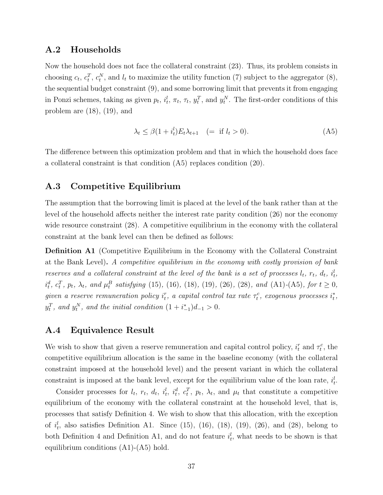### A.2 Households

Now the household does not face the collateral constraint (23). Thus, its problem consists in choosing  $c_t$ ,  $c_t^T$ ,  $c_t^N$ , and  $l_t$  to maximize the utility function (7) subject to the aggregator (8), the sequential budget constraint (9), and some borrowing limit that prevents it from engaging in Ponzi schemes, taking as given  $p_t$ ,  $i_t^l$ ,  $\pi_t$ ,  $\tau_t$ ,  $y_t^T$ , and  $y_t^N$ . The first-order conditions of this problem are  $(18)$ ,  $(19)$ , and

$$
\lambda_t \le \beta (1 + i_t^l) E_t \lambda_{t+1} \quad (= \text{if } l_t > 0). \tag{A5}
$$

The difference between this optimization problem and that in which the household does face a collateral constraint is that condition (A5) replaces condition (20).

### A.3 Competitive Equilibrium

The assumption that the borrowing limit is placed at the level of the bank rather than at the level of the household affects neither the interest rate parity condition (26) nor the economy wide resource constraint (28). A competitive equilibrium in the economy with the collateral constraint at the bank level can then be defined as follows:

Definition A1 (Competitive Equilibrium in the Economy with the Collateral Constraint at the Bank Level). A competitive equilibrium in the economy with costly provision of bank reserves and a collateral constraint at the level of the bank is a set of processes  $l_t$ ,  $r_t$ ,  $d_t$ ,  $i_t^l$ ,  $i_t^d$ ,  $c_t^T$ ,  $p_t$ ,  $\lambda_t$ , and  $\mu_t^B$  satisfying (15), (16), (18), (19), (26), (28), and (A1)-(A5), for  $t \ge 0$ , given a reserve remuneration policy  $i_t^r$ , a capital control tax rate  $\tau_t^c$ , exogenous processes  $i_t^*,$  $y_t^T$ , and  $y_t^N$ , and the initial condition  $(1+i_{-1}^*)d_{-1} > 0$ .

### A.4 Equivalence Result

We wish to show that given a reserve remuneration and capital control policy,  $i_t^r$  and  $\tau_t^c$ , the competitive equilibrium allocation is the same in the baseline economy (with the collateral constraint imposed at the household level) and the present variant in which the collateral constraint is imposed at the bank level, except for the equilibrium value of the loan rate,  $i_t^l$ .

Consider processes for  $l_t$ ,  $r_t$ ,  $d_t$ ,  $i_t^l$ ,  $i_t^d$ ,  $c_t^T$ ,  $p_t$ ,  $\lambda_t$ , and  $\mu_t$  that constitute a competitive equilibrium of the economy with the collateral constraint at the household level, that is, processes that satisfy Definition 4. We wish to show that this allocation, with the exception of  $i_t^l$ , also satisfies Definition A1. Since (15), (16), (18), (19), (26), and (28), belong to both Definition 4 and Definition A1, and do not feature  $i_t^l$ , what needs to be shown is that equilibrium conditions (A1)-(A5) hold.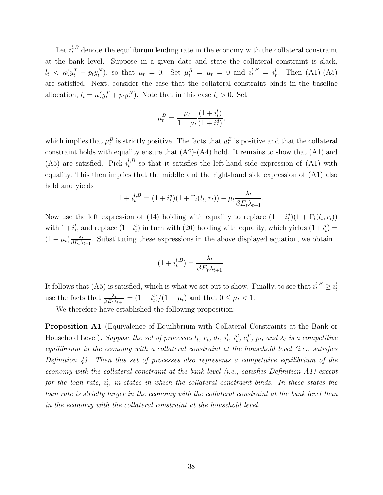Let  $i_t^{l,B}$  denote the equilibirum lending rate in the economy with the collateral constraint at the bank level. Suppose in a given date and state the collateral constraint is slack,  $l_t \leq \kappa(y_t^T + p_t y_t^N)$ , so that  $\mu_t = 0$ . Set  $\mu_t^B = \mu_t = 0$  and  $i_t^{l,B} = i_t^l$ . Then (A1)-(A5) are satisfied. Next, consider the case that the collateral constraint binds in the baseline allocation,  $l_t = \kappa(y_t^T + p_t y_t^N)$ . Note that in this case  $l_t > 0$ . Set

$$
\mu_t^B = \frac{\mu_t}{1 - \mu_t} \frac{(1 + i_t^l)}{(1 + i_t^d)},
$$

which implies that  $\mu_t^B$  is strictly positive. The facts that  $\mu_t^B$  is positive and that the collateral constraint holds with equality ensure that  $(A2)-(A4)$  hold. It remains to show that  $(A1)$  and (A5) are satisfied. Pick  $i_t^{l,B}$  $t_t^{l, B}$  so that it satisfies the left-hand side expression of  $(A1)$  with equality. This then implies that the middle and the right-hand side expression of (A1) also hold and yields

$$
1 + i_t^{l,B} = (1 + i_t^d)(1 + \Gamma_l(l_t, r_t)) + \mu_t \frac{\lambda_t}{\beta E_t \lambda_{t+1}}.
$$

Now use the left expression of (14) holding with equality to replace  $(1 + i_t^d)(1 + \Gamma_l(l_t, r_t))$ with  $1+i_t^l$ , and replace  $(1+i_t^l)$  in turn with (20) holding with equality, which yields  $(1+i_t^l)$  $(1-\mu_t)\frac{\lambda_t}{\beta E_t \lambda}$  $\frac{\lambda_t}{\beta E_t \lambda_{t+1}}$ . Substituting these expressions in the above displayed equation, we obtain

$$
(1 + i_t^{l,B}) = \frac{\lambda_t}{\beta E_t \lambda_{t+1}}
$$

.

It follows that (A5) is satisfied, which is what we set out to show. Finally, to see that  $i_t^{l,B} \geq i_t^{l}$ use the facts that  $\frac{\lambda_t}{\beta E_t \lambda_{t+1}} = \frac{1 + i_t^l}{1 - \mu_t}$  and that  $0 \leq \mu_t < 1$ .

We therefore have established the following proposition:

Proposition A1 (Equivalence of Equilibrium with Collateral Constraints at the Bank or Household Level). Suppose the set of processes  $l_t$ ,  $r_t$ ,  $d_t$ ,  $i_t^l$ ,  $i_t^d$ ,  $c_t^T$ ,  $p_t$ , and  $\lambda_t$  is a competitive equilibrium in the economy with a collateral constraint at the household level (i.e., satisfies Definition  $\ddot{A}$ ). Then this set of processes also represents a competitive equilibrium of the economy with the collateral constraint at the bank level (i.e., satisfies Definition A1) except for the loan rate,  $i_t^l$ , in states in which the collateral constraint binds. In these states the loan rate is strictly larger in the economy with the collateral constraint at the bank level than in the economy with the collateral constraint at the household level.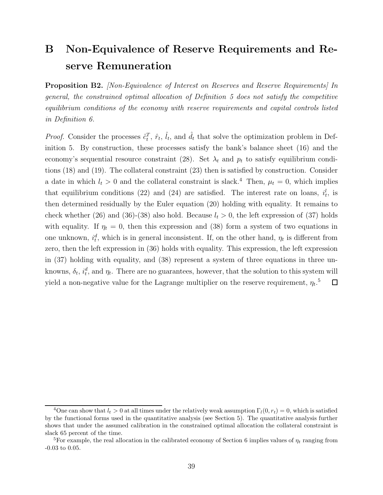## B Non-Equivalence of Reserve Requirements and Reserve Remuneration

**Proposition B2.** [Non-Equivalence of Interest on Reserves and Reserve Requirements] In general, the constrained optimal allocation of Definition 5 does not satisfy the competitive equilibrium conditions of the economy with reserve requirements and capital controls listed in Definition 6.

*Proof.* Consider the processes  $\hat{c}_t^T$ ,  $\hat{r}_t$ ,  $\hat{l}_t$ , and  $\hat{d}_t$  that solve the optimization problem in Definition 5. By construction, these processes satisfy the bank's balance sheet (16) and the economy's sequential resource constraint (28). Set  $\lambda_t$  and  $p_t$  to satisfy equilibrium conditions (18) and (19). The collateral constraint (23) then is satisfied by construction. Consider a date in which  $l_t > 0$  and the collateral constraint is slack.<sup>4</sup> Then,  $\mu_t = 0$ , which implies that equilibrium conditions (22) and (24) are satisfied. The interest rate on loans,  $i_t^l$ , is then determined residually by the Euler equation (20) holding with equality. It remains to check whether (26) and (36)-(38) also hold. Because  $l_t > 0$ , the left expression of (37) holds with equality. If  $\eta_t = 0$ , then this expression and (38) form a system of two equations in one unknown,  $i_t^d$ , which is in general inconsistent. If, on the other hand,  $\eta_t$  is different from zero, then the left expression in (36) holds with equality. This expression, the left expression in (37) holding with equality, and (38) represent a system of three equations in three unknowns,  $\delta_t$ ,  $i_t^d$ , and  $\eta_t$ . There are no guarantees, however, that the solution to this system will yield a non-negative value for the Lagrange multiplier on the reserve requirement,  $\eta_t$ .<sup>5</sup>  $\Box$ 

<sup>&</sup>lt;sup>4</sup>One can show that  $l_t > 0$  at all times under the relatively weak assumption  $\Gamma_l(0, r_t) = 0$ , which is satisfied by the functional forms used in the quantitative analysis (see Section 5). The quantitative analysis further shows that under the assumed calibration in the constrained optimal allocation the collateral constraint is slack 65 percent of the time.

<sup>&</sup>lt;sup>5</sup>For example, the real allocation in the calibrated economy of Section 6 implies values of  $\eta_t$  ranging from -0.03 to 0.05.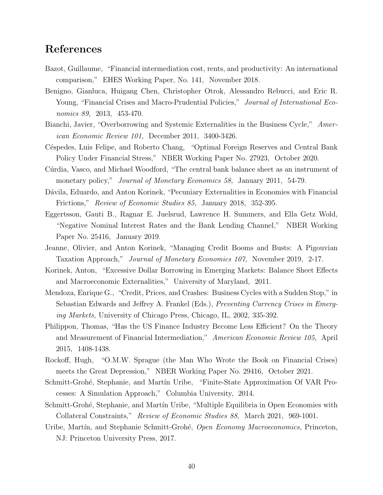## References

- Bazot, Guillaume, "Financial intermediation cost, rents, and productivity: An international comparison," EHES Working Paper, No. 141, November 2018.
- Benigno, Gianluca, Huigang Chen, Christopher Otrok, Alessandro Rebucci, and Eric R. Young, "Financial Crises and Macro-Prudential Policies," *Journal of International Eco*nomics 89, 2013, 453-470.
- Bianchi, Javier, "Overborrowing and Systemic Externalities in the Business Cycle," American Economic Review 101, December 2011, 3400-3426.
- Céspedes, Luis Felipe, and Roberto Chang, "Optimal Foreign Reserves and Central Bank Policy Under Financial Stress," NBER Working Paper No. 27923, October 2020.
- Cúrdia, Vasco, and Michael Woodford, "The central bank balance sheet as an instrument of monetary policy," *Journal of Monetary Economics 58*, January 2011, 54-79.
- Dávila, Eduardo, and Anton Korinek, "Pecuniary Externalities in Economies with Financial Frictions," Review of Economic Studies 85, January 2018, 352-395.
- Eggertsson, Gauti B., Ragnar E. Juelsrud, Lawrence H. Summers, and Ella Getz Wold, "Negative Nominal Interest Rates and the Bank Lending Channel," NBER Working Paper No. 25416, January 2019.
- Jeanne, Olivier, and Anton Korinek, "Managing Credit Booms and Busts: A Pigouvian Taxation Approach," Journal of Monetary Economics 107, November 2019, 2-17.
- Korinek, Anton, "Excessive Dollar Borrowing in Emerging Markets: Balance Sheet Effects and Macroeconomic Externalities," University of Maryland, 2011.
- Mendoza, Enrique G., "Credit, Prices, and Crashes: Business Cycles with a Sudden Stop," in Sebastian Edwards and Jeffrey A. Frankel (Eds.), *Preventing Currency Crises in Emerg*ing Markets, University of Chicago Press, Chicago, IL, 2002, 335-392.
- Philippon, Thomas, "Has the US Finance Industry Become Less Efficient? On the Theory and Measurement of Financial Intermediation," American Economic Review 105, April 2015, 1408-1438.
- Rockoff, Hugh, "O.M.W. Sprague (the Man Who Wrote the Book on Financial Crises) meets the Great Depression," NBER Working Paper No. 29416, October 2021.
- Schmitt-Grohé, Stephanie, and Martín Uribe, "Finite-State Approximation Of VAR Processes: A Simulation Approach," Columbia University, 2014.
- Schmitt-Grohé, Stephanie, and Martín Uribe, "Multiple Equilibria in Open Economies with Collateral Constraints," Review of Economic Studies 88, March 2021, 969-1001.
- Uribe, Martín, and Stephanie Schmitt-Grohé, Open Economy Macroeconomics, Princeton, NJ: Princeton University Press, 2017.